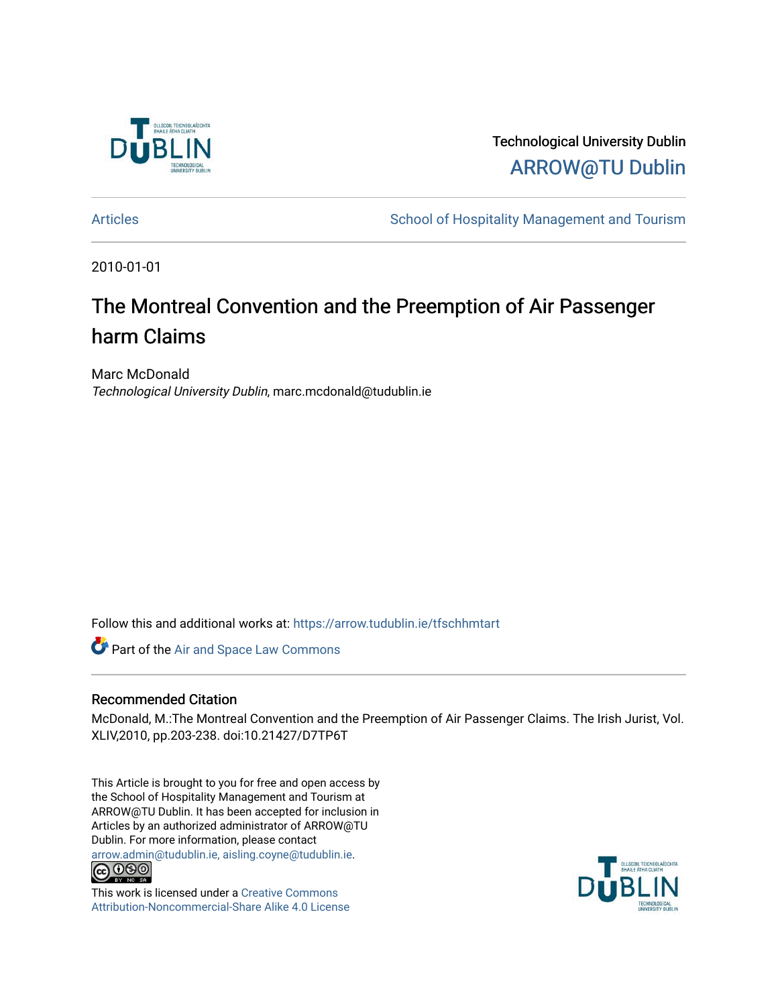

Technological University Dublin [ARROW@TU Dublin](https://arrow.tudublin.ie/) 

[Articles](https://arrow.tudublin.ie/tfschhmtart) **School of Hospitality Management and Tourism** 

2010-01-01

# The Montreal Convention and the Preemption of Air Passenger harm Claims

Marc McDonald Technological University Dublin, marc.mcdonald@tudublin.ie

Follow this and additional works at: [https://arrow.tudublin.ie/tfschhmtart](https://arrow.tudublin.ie/tfschhmtart?utm_source=arrow.tudublin.ie%2Ftfschhmtart%2F18&utm_medium=PDF&utm_campaign=PDFCoverPages) 

**Part of the [Air and Space Law Commons](http://network.bepress.com/hgg/discipline/830?utm_source=arrow.tudublin.ie%2Ftfschhmtart%2F18&utm_medium=PDF&utm_campaign=PDFCoverPages)** 

## Recommended Citation

McDonald, M.:The Montreal Convention and the Preemption of Air Passenger Claims. The Irish Jurist, Vol. XLIV,2010, pp.203-238. doi:10.21427/D7TP6T

This Article is brought to you for free and open access by the School of Hospitality Management and Tourism at ARROW@TU Dublin. It has been accepted for inclusion in Articles by an authorized administrator of ARROW@TU Dublin. For more information, please contact [arrow.admin@tudublin.ie, aisling.coyne@tudublin.ie](mailto:arrow.admin@tudublin.ie,%20aisling.coyne@tudublin.ie).<br>
co 060



This work is licensed under a [Creative Commons](http://creativecommons.org/licenses/by-nc-sa/4.0/) [Attribution-Noncommercial-Share Alike 4.0 License](http://creativecommons.org/licenses/by-nc-sa/4.0/)

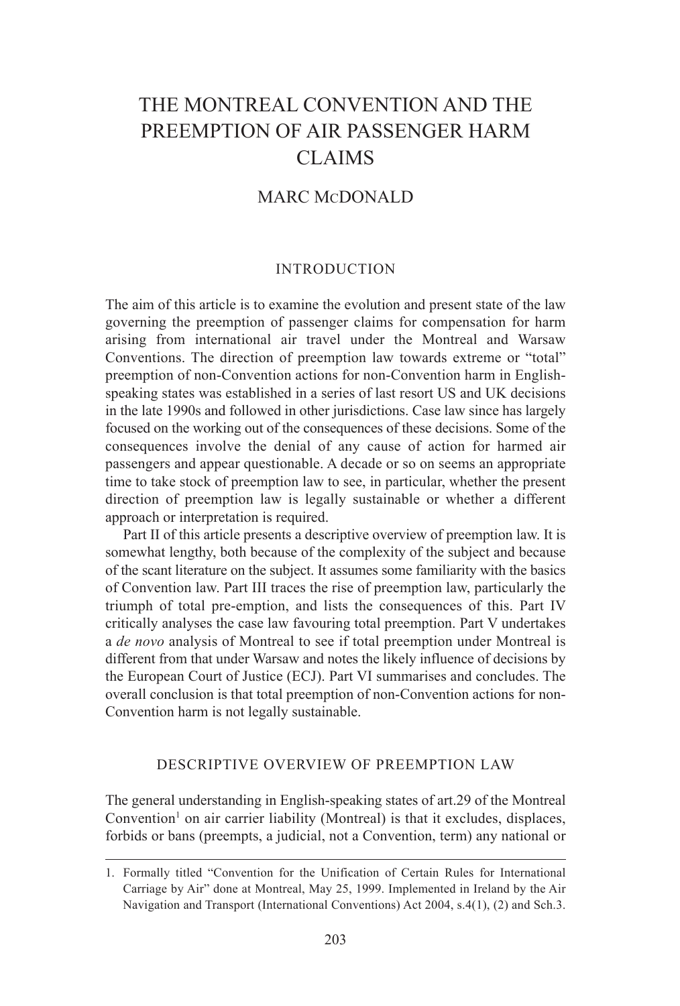## The MoNTReAl CoNveNTIoN ANd The PREEMPTION OF AIR PASSENGER HARM ClAIMS

## MARC MCDONALD

## INTRodUCTIoN

The aim of this article is to examine the evolution and present state of the law governing the preemption of passenger claims for compensation for harm arising from international air travel under the Montreal and Warsaw Conventions. The direction of preemption law towards extreme or "total" preemption of non-Convention actions for non-Convention harm in Englishspeaking states was established in a series of last resort US and UK decisions in the late 1990s and followed in other jurisdictions. Case law since has largely focused on the working out of the consequences of these decisions. Some of the consequences involve the denial of any cause of action for harmed air passengers and appear questionable. A decade or so on seems an appropriate time to take stock of preemption law to see, in particular, whether the present direction of preemption law is legally sustainable or whether a different approach or interpretation is required.

Part II of this article presents a descriptive overview of preemption law. It is somewhat lengthy, both because of the complexity of the subject and because of the scant literature on the subject. It assumes some familiarity with the basics of Convention law. Part III traces the rise of preemption law, particularly the triumph of total pre-emption, and lists the consequences of this. Part Iv critically analyses the case law favouring total preemption. Part v undertakes a *de novo* analysis of Montreal to see if total preemption under Montreal is different from that under Warsaw and notes the likely influence of decisions by the European Court of Justice (ECJ). Part VI summarises and concludes. The overall conclusion is that total preemption of non-Convention actions for non-Convention harm is not legally sustainable.

## deSCRIPTIve oveRvIeW oF PReeMPTIoN lAW

The general understanding in English-speaking states of art. 29 of the Montreal Convention<sup>1</sup> on air carrier liability (Montreal) is that it excludes, displaces, forbids or bans (preempts, a judicial, not a Convention, term) any national or

<sup>1.</sup> Formally titled "Convention for the Unification of Certain Rules for International Carriage by Air" done at Montreal, May 25, 1999. Implemented in Ireland by the Air Navigation and Transport (International Conventions) Act 2004, s.4(1), (2) and Sch.3.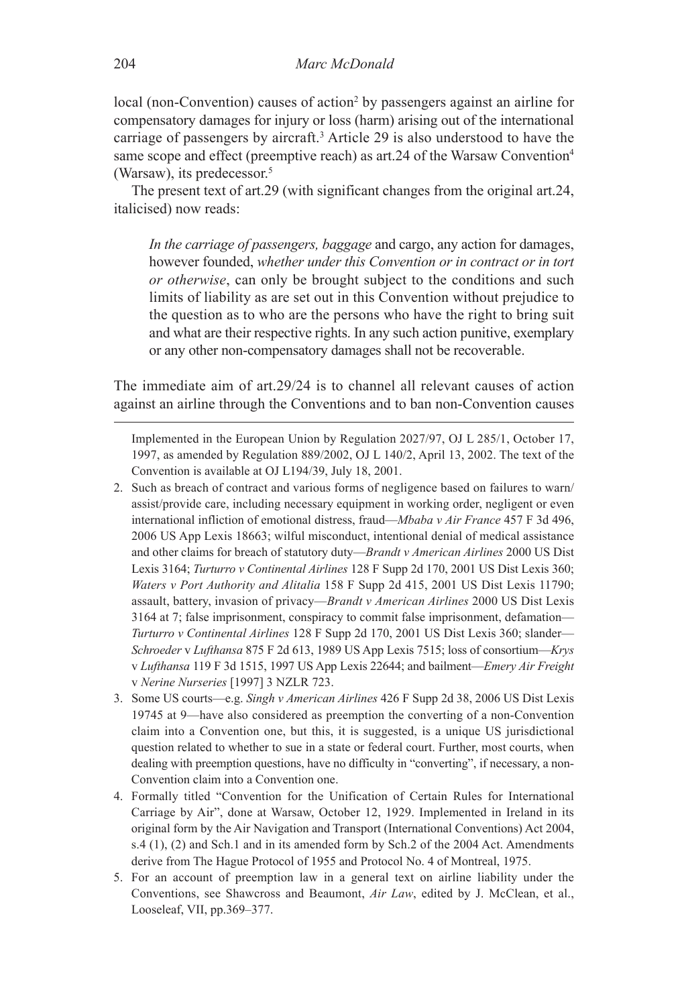local (non-Convention) causes of action<sup>2</sup> by passengers against an airline for compensatory damages for injury or loss (harm) arising out of the international carriage of passengers by aircraft. <sup>3</sup> Article 29 is also understood to have the same scope and effect (preemptive reach) as art.24 of the Warsaw Convention<sup>4</sup> (Warsaw), its predecessor. 5

The present text of art.29 (with significant changes from the original art.24, italicised) now reads:

*In the carriage of passengers, baggage* and cargo, any action for damages, however founded, *whether under this Convention or in contract or in tort or otherwise*, can only be brought subject to the conditions and such limits of liability as are set out in this Convention without prejudice to the question as to who are the persons who have the right to bring suit and what are their respective rights. In any such action punitive, exemplary or any other non-compensatory damages shall not be recoverable.

The immediate aim of art.29/24 is to channel all relevant causes of action against an airline through the Conventions and to ban non-Convention causes

Implemented in the European Union by Regulation 2027/97, OJ L 285/1, October 17, 1997, as amended by Regulation 889/2002, oJ l 140/2, April 13, 2002. The text of the Convention is available at OJ L194/39, July 18, 2001.

- 2. Such as breach of contract and various forms of negligence based on failures to warn/ assist/provide care, including necessary equipment in working order, negligent or even international infliction of emotional distress, fraud—*Mbaba v Air France* 457 F 3d 496, 2006 US App lexis 18663; wilful misconduct, intentional denial of medical assistance and other claims for breach of statutory duty—*Brandt v American Airlines* 2000 US Dist Lexis 3164; *Turturro v Continental Airlines* 128 F Supp 2d 170, 2001 US Dist Lexis 360; *Waters v Port Authority and Alitalia* 158 F Supp 2d 415, 2001 US Dist Lexis 11790; assault, battery, invasion of privacy-Brandt v American Airlines 2000 US Dist Lexis 3164 at 7; false imprisonment, conspiracy to commit false imprisonment, defamation— *Turturro v Continental Airlines* 128 F Supp 2d 170, 2001 US Dist Lexis 360; slander— *Schroeder* v *Lufthansa* 875 F 2d 613, 1989 US App lexis 7515; loss of consortium—*Krys* v *Lufthansa* 119 F 3d 1515, 1997 US App lexis 22644; and bailment—*Emery Air Freight* v *Nerine Nurseries* [1997] 3 NZlR 723.
- 3. Some US courts—e.g. *Singh v American Airlines* 426 F Supp 2d 38, 2006 US Dist Lexis 19745 at 9—have also considered as preemption the converting of a non-Convention claim into a Convention one, but this, it is suggested, is a unique US jurisdictional question related to whether to sue in a state or federal court. Further, most courts, when dealing with preemption questions, have no difficulty in "converting", if necessary, a non-Convention claim into a Convention one.
- 4. Formally titled "Convention for the Unification of Certain Rules for International Carriage by Air", done at Warsaw, october 12, 1929. Implemented in Ireland in its original form by the Air Navigation and Transport (International Conventions) Act 2004, s.4 (1), (2) and Sch.1 and in its amended form by Sch.2 of the 2004 Act. Amendments derive from The hague Protocol of 1955 and Protocol No. 4 of Montreal, 1975.
- 5. For an account of preemption law in a general text on airline liability under the Conventions, see Shawcross and Beaumont, *Air Law*, edited by J. McClean, et al., looseleaf, vII, pp.369–377.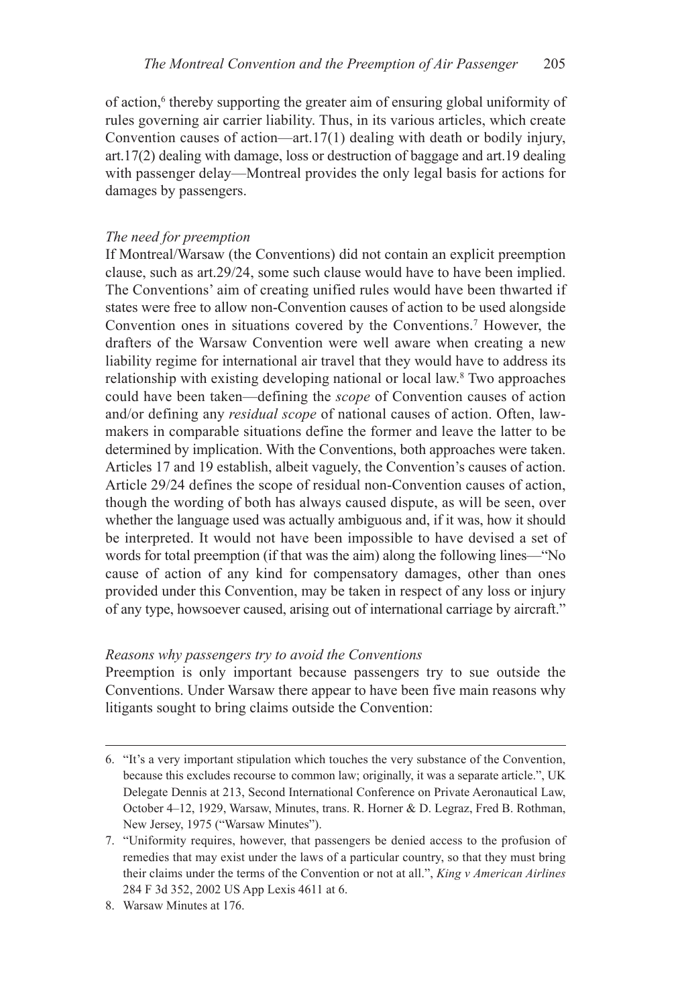of action, <sup>6</sup> thereby supporting the greater aim of ensuring global uniformity of rules governing air carrier liability. Thus, in its various articles, which create Convention causes of action—art.17(1) dealing with death or bodily injury, art.17(2) dealing with damage, loss or destruction of baggage and art.19 dealing with passenger delay—Montreal provides the only legal basis for actions for damages by passengers.

## *The need for preemption*

If Montreal/Warsaw (the Conventions) did not contain an explicit preemption clause, such as art.29/24, some such clause would have to have been implied. The Conventions' aim of creating unified rules would have been thwarted if states were free to allow non-Convention causes of action to be used alongside Convention ones in situations covered by the Conventions. <sup>7</sup> however, the drafters of the Warsaw Convention were well aware when creating a new liability regime for international air travel that they would have to address its relationship with existing developing national or local law. <sup>8</sup> Two approaches could have been taken—defining the *scope* of Convention causes of action and/or defining any *residual scope* of national causes of action. Often, lawmakers in comparable situations define the former and leave the latter to be determined by implication. With the Conventions, both approaches were taken. Articles 17 and 19 establish, albeit vaguely, the Convention's causes of action. Article 29/24 defines the scope of residual non-Convention causes of action, though the wording of both has always caused dispute, as will be seen, over whether the language used was actually ambiguous and, if it was, how it should be interpreted. It would not have been impossible to have devised a set of words for total preemption (if that was the aim) along the following lines—"No cause of action of any kind for compensatory damages, other than ones provided under this Convention, may be taken in respect of any loss or injury of any type, howsoever caused, arising out of international carriage by aircraft."

## *Reasons why passengers try to avoid the Conventions*

Preemption is only important because passengers try to sue outside the Conventions. Under Warsaw there appear to have been five main reasons why litigants sought to bring claims outside the Convention:

8. Warsaw Minutes at 176.

<sup>6.</sup> "It's a very important stipulation which touches the very substance of the Convention, because this excludes recourse to common law; originally, it was a separate article.", UK Delegate Dennis at 213, Second International Conference on Private Aeronautical Law, October 4–12, 1929, Warsaw, Minutes, trans. R. Horner  $\&$  D. Legraz, Fred B. Rothman, New Jersey, 1975 ("Warsaw Minutes").

<sup>7.</sup> "Uniformity requires, however, that passengers be denied access to the profusion of remedies that may exist under the laws of a particular country, so that they must bring their claims under the terms of the Convention or not at all.", *King v American Airlines* 284 F 3d 352, 2002 US App lexis 4611 at 6.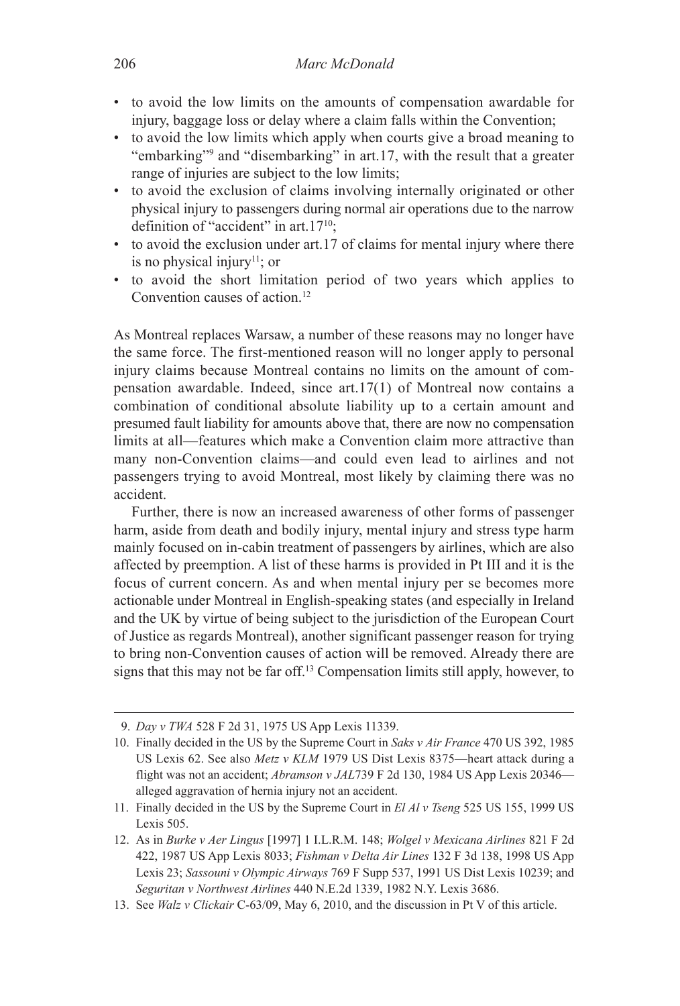- to avoid the low limits on the amounts of compensation awardable for injury, baggage loss or delay where a claim falls within the Convention;
- to avoid the low limits which apply when courts give a broad meaning to "embarking"<sup>9</sup> and "disembarking" in art.17, with the result that a greater range of injuries are subject to the low limits;
- to avoid the exclusion of claims involving internally originated or other physical injury to passengers during normal air operations due to the narrow definition of "accident" in art.17<sup>10</sup>;
- to avoid the exclusion under art.17 of claims for mental injury where there is no physical injury<sup>11</sup>; or
- to avoid the short limitation period of two years which applies to Convention causes of action. 12

As Montreal replaces Warsaw, a number of these reasons may no longer have the same force. The first-mentioned reason will no longer apply to personal injury claims because Montreal contains no limits on the amount of compensation awardable. Indeed, since art.17(1) of Montreal now contains a combination of conditional absolute liability up to a certain amount and presumed fault liability for amounts above that, there are now no compensation limits at all—features which make a Convention claim more attractive than many non-Convention claims—and could even lead to airlines and not passengers trying to avoid Montreal, most likely by claiming there was no accident.

Further, there is now an increased awareness of other forms of passenger harm, aside from death and bodily injury, mental injury and stress type harm mainly focused on in-cabin treatment of passengers by airlines, which are also affected by preemption. A list of these harms is provided in Pt III and it is the focus of current concern. As and when mental injury per se becomes more actionable under Montreal in English-speaking states (and especially in Ireland and the UK by virtue of being subject to the jurisdiction of the European Court of Justice as regards Montreal), another significant passenger reason for trying to bring non-Convention causes of action will be removed. Already there are signs that this may not be far off. <sup>13</sup> Compensation limits still apply, however, to

<sup>9.</sup> *Day v TWA* 528 F 2d 31, 1975 US App lexis 11339.

<sup>10.</sup> Finally decided in the US by the Supreme Court in *Saks v Air France* 470 US 392, 1985 US Lexis 62. See also *Metz v KLM* 1979 US Dist Lexis 8375—heart attack during a flight was not an accident; *Abramson v JAL*739 F 2d 130, 1984 US App lexis 20346 alleged aggravation of hernia injury not an accident.

<sup>11.</sup> Finally decided in the US by the Supreme Court in *El Al v Tseng* 525 US 155, 1999 US Lexis 505.

<sup>12.</sup> As in *Burke v Aer Lingus* [1997] 1 I.l.R.M. 148; *Wolgel v Mexicana Airlines* 821 F 2d 422, 1987 US App lexis 8033; *Fishman v Delta Air Lines* 132 F 3d 138, 1998 US App Lexis 23; *Sassouni v Olympic Airways* 769 F Supp 537, 1991 US Dist Lexis 10239; and *Seguritan v Northwest Airlines* 440 N.e.2d 1339, 1982 N.Y. lexis 3686.

<sup>13.</sup> See *Walz v Clickair* C-63/09, May 6, 2010, and the discussion in Pt v of this article.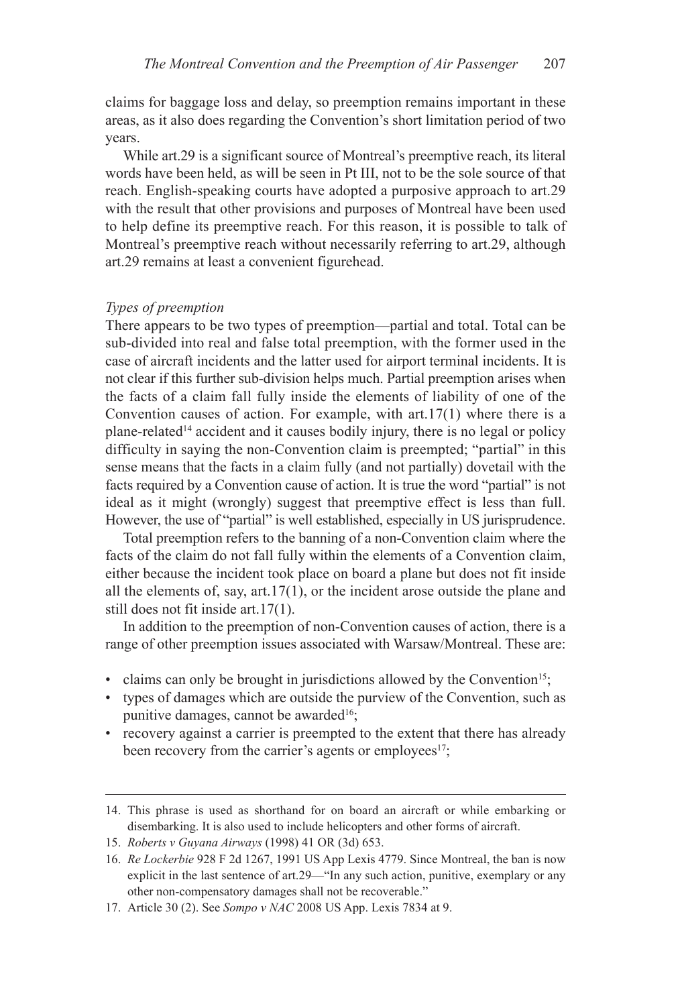claims for baggage loss and delay, so preemption remains important in these areas, as it also does regarding the Convention's short limitation period of two years.

While art.29 is a significant source of Montreal's preemptive reach, its literal words have been held, as will be seen in Pt III, not to be the sole source of that reach. English-speaking courts have adopted a purposive approach to art.29 with the result that other provisions and purposes of Montreal have been used to help define its preemptive reach. For this reason, it is possible to talk of Montreal's preemptive reach without necessarily referring to art.29, although art.29 remains at least a convenient figurehead.

## *Types of preemption*

There appears to be two types of preemption—partial and total. Total can be sub-divided into real and false total preemption, with the former used in the case of aircraft incidents and the latter used for airport terminal incidents. It is not clear if this further sub-division helps much. Partial preemption arises when the facts of a claim fall fully inside the elements of liability of one of the Convention causes of action. For example, with art.17(1) where there is a plane-related14 accident and it causes bodily injury, there is no legal or policy difficulty in saying the non-Convention claim is preempted; "partial" in this sense means that the facts in a claim fully (and not partially) dovetail with the facts required by a Convention cause of action. It is true the word "partial" is not ideal as it might (wrongly) suggest that preemptive effect is less than full. however, the use of "partial" is well established, especially in US jurisprudence.

Total preemption refers to the banning of a non-Convention claim where the facts of the claim do not fall fully within the elements of a Convention claim, either because the incident took place on board a plane but does not fit inside all the elements of, say, art.17(1), or the incident arose outside the plane and still does not fit inside art.17(1).

In addition to the preemption of non-Convention causes of action, there is a range of other preemption issues associated with Warsaw/Montreal. These are:

- claims can only be brought in jurisdictions allowed by the Convention<sup>15</sup>;
- types of damages which are outside the purview of the Convention, such as punitive damages, cannot be awarded<sup>16</sup>;
- recovery against a carrier is preempted to the extent that there has already been recovery from the carrier's agents or employees<sup>17</sup>;

<sup>14.</sup> This phrase is used as shorthand for on board an aircraft or while embarking or disembarking. It is also used to include helicopters and other forms of aircraft.

<sup>15.</sup> *Roberts v Guyana Airways* (1998) 41 oR (3d) 653.

<sup>16.</sup> *Re Lockerbie* 928 F 2d 1267, 1991 US App lexis 4779. Since Montreal, the ban is now explicit in the last sentence of art.29—"In any such action, punitive, exemplary or any other non-compensatory damages shall not be recoverable."

<sup>17.</sup> Article 30 (2). See *Sompo v NAC* 2008 US App. lexis 7834 at 9.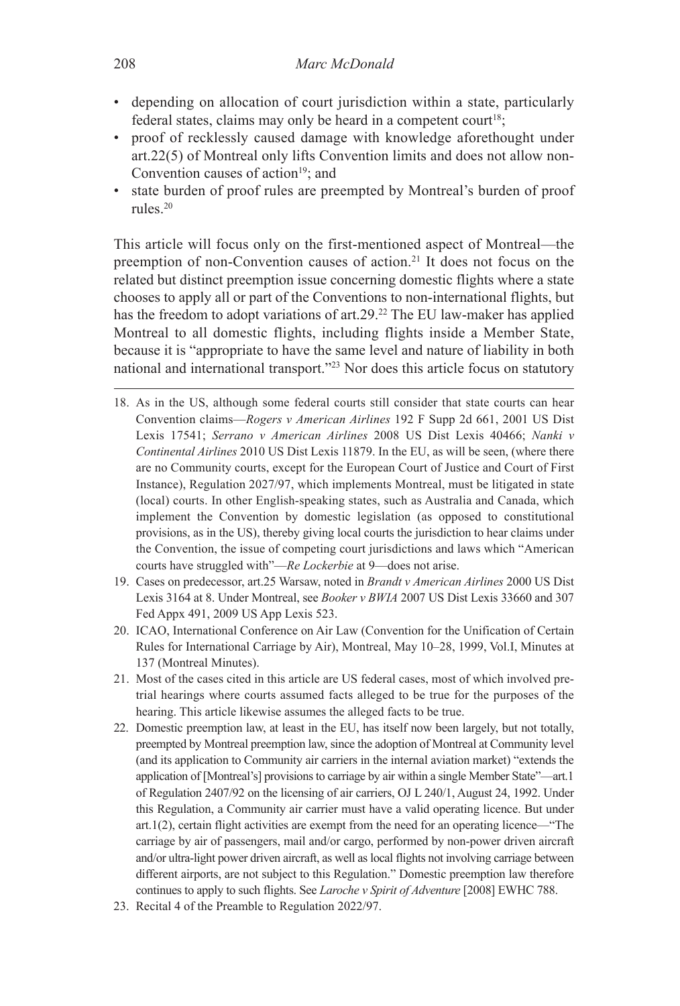- depending on allocation of court jurisdiction within a state, particularly federal states, claims may only be heard in a competent court<sup>18</sup>;
- proof of recklessly caused damage with knowledge aforethought under art.22(5) of Montreal only lifts Convention limits and does not allow non-Convention causes of action $19$ ; and
- state burden of proof rules are preempted by Montreal's burden of proof rules. 20

This article will focus only on the first-mentioned aspect of Montreal—the preemption of non-Convention causes of action. <sup>21</sup> It does not focus on the related but distinct preemption issue concerning domestic flights where a state chooses to apply all or part of the Conventions to non-international flights, but has the freedom to adopt variations of art.29.<sup>22</sup> The EU law-maker has applied Montreal to all domestic flights, including flights inside a Member State, because it is "appropriate to have the same level and nature of liability in both national and international transport."23 Nor does this article focus on statutory

- 18. As in the US, although some federal courts still consider that state courts can hear Convention claims—*Rogers v American Airlines* 192 F Supp 2d 661, 2001 US Dist Lexis 17541; *Serrano v American Airlines* 2008 US Dist Lexis 40466; *Nanki v Continental Airlines* 2010 US Dist Lexis 11879. In the EU, as will be seen, (where there are no Community courts, except for the european Court of Justice and Court of First Instance), Regulation 2027/97, which implements Montreal, must be litigated in state (local) courts. In other English-speaking states, such as Australia and Canada, which implement the Convention by domestic legislation (as opposed to constitutional provisions, as in the US), thereby giving local courts the jurisdiction to hear claims under the Convention, the issue of competing court jurisdictions and laws which "American courts have struggled with"—*Re Lockerbie* at 9—does not arise.
- 19. Cases on predecessor, art.25 Warsaw, noted in *Brandt v American Airlines* 2000 US Dist Lexis 3164 at 8. Under Montreal, see *Booker v BWIA* 2007 US Dist Lexis 33660 and 307 Fed Appx 491, 2009 US App lexis 523.
- 20. ICAo, International Conference on Air law (Convention for the Unification of Certain Rules for International Carriage by Air), Montreal, May 10–28, 1999, vol.I, Minutes at 137 (Montreal Minutes).
- 21. Most of the cases cited in this article are US federal cases, most of which involved pretrial hearings where courts assumed facts alleged to be true for the purposes of the hearing. This article likewise assumes the alleged facts to be true.
- 22. Domestic preemption law, at least in the EU, has itself now been largely, but not totally, preempted by Montreal preemption law, since the adoption of Montreal at Community level (and its application to Community air carriers in the internal aviation market) "extends the application of [Montreal's] provisions to carriage by air within a single Member State"—art.1 of Regulation 2407/92 on the licensing of air carriers, oJ l 240/1, August 24, 1992. Under this Regulation, a Community air carrier must have a valid operating licence. But under art.1(2), certain flight activities are exempt from the need for an operating licence—"The carriage by air of passengers, mail and/or cargo, performed by non-power driven aircraft and/or ultra-light power driven aircraft, as well aslocal flights not involving carriage between different airports, are not subject to this Regulation." Domestic preemption law therefore continues to apply to such flights. See *Laroche v Spirit of Adventure* [2008] eWhC 788.
- 23. Recital 4 of the Preamble to Regulation 2022/97.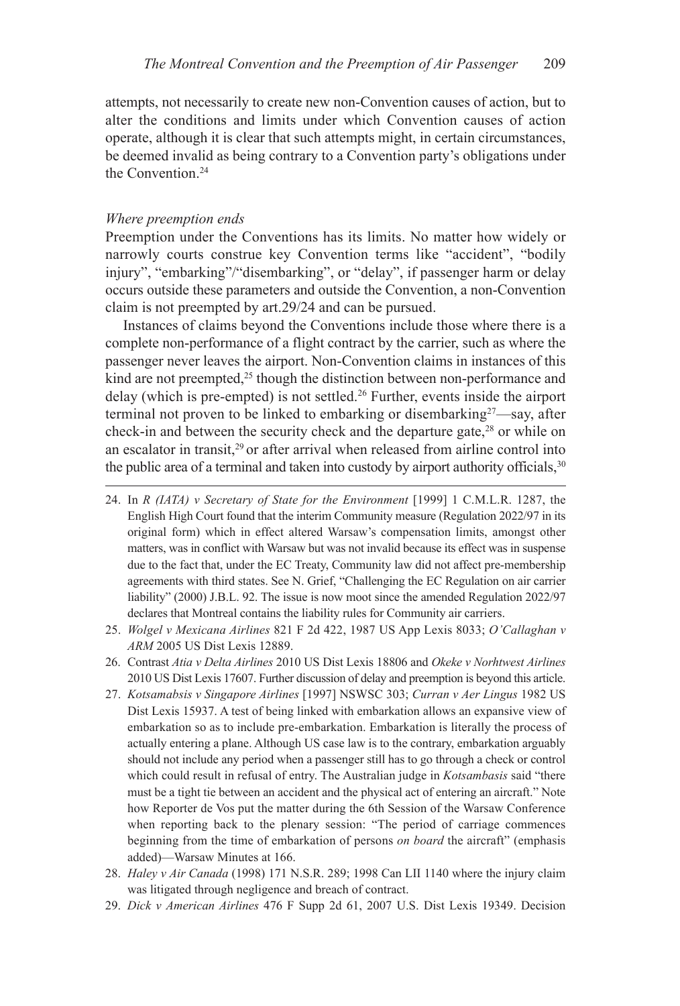attempts, not necessarily to create new non-Convention causes of action, but to alter the conditions and limits under which Convention causes of action operate, although it is clear that such attempts might, in certain circumstances, be deemed invalid as being contrary to a Convention party's obligations under the Convention. 24

#### *Where preemption ends*

Preemption under the Conventions has its limits. No matter how widely or narrowly courts construe key Convention terms like "accident", "bodily injury", "embarking"/"disembarking", or "delay", if passenger harm or delay occurs outside these parameters and outside the Convention, a non-Convention claim is not preempted by art.29/24 and can be pursued.

Instances of claims beyond the Conventions include those where there is a complete non-performance of a flight contract by the carrier, such as where the passenger never leaves the airport. Non-Convention claims in instances of this kind are not preempted, <sup>25</sup> though the distinction between non-performance and delay (which is pre-empted) is not settled. <sup>26</sup> Further, events inside the airport terminal not proven to be linked to embarking or disembarking<sup>27</sup>—say, after check-in and between the security check and the departure gate, <sup>28</sup> or while on an escalator in transit, <sup>29</sup> or after arrival when released from airline control into the public area of a terminal and taken into custody by airport authority officials,  $30$ 

- 24. In *R (IATA) v Secretary of State for the Environment* [1999] 1 C.M.l.R. 1287, the English High Court found that the interim Community measure (Regulation 2022/97 in its original form) which in effect altered Warsaw's compensation limits, amongst other matters, was in conflict with Warsaw but was not invalid because its effect was in suspense due to the fact that, under the eC Treaty, Community law did not affect pre-membership agreements with third states. See N. Grief, "Challenging the EC Regulation on air carrier liability" (2000) J.B.l. 92. The issue is now moot since the amended Regulation 2022/97 declares that Montreal contains the liability rules for Community air carriers.
- 25. *Wolgel v Mexicana Airlines* 821 F 2d 422, 1987 US App lexis 8033; *O'Callaghan v ARM* 2005 US Dist Lexis 12889.
- 26. Contrast *Atia v Delta Airlines* 2010 US Dist Lexis 18806 and *Okeke v Norhtwest Airlines* 2010 US dist lexis 17607. Further discussion of delay and preemption is beyond this article.
- 27. *Kotsamabsis v Singapore Airlines* [1997] NSWSC 303; *Curran v Aer Lingus* 1982 US Dist Lexis 15937. A test of being linked with embarkation allows an expansive view of embarkation so as to include pre-embarkation. Embarkation is literally the process of actually entering a plane. Although US case law is to the contrary, embarkation arguably should not include any period when a passenger still has to go through a check or control which could result in refusal of entry. The Australian judge in *Kotsambasis* said "there must be a tight tie between an accident and the physical act of entering an aircraft." Note how Reporter de vos put the matter during the 6th Session of the Warsaw Conference when reporting back to the plenary session: "The period of carriage commences beginning from the time of embarkation of persons *on board* the aircraft" (emphasis added)—Warsaw Minutes at 166.
- 28. *Haley v Air Canada* (1998) 171 N.S.R. 289; 1998 Can lII 1140 where the injury claim was litigated through negligence and breach of contract.
- 29. *Dick v American Airlines* 476 F Supp 2d 61, 2007 U.S. Dist Lexis 19349. Decision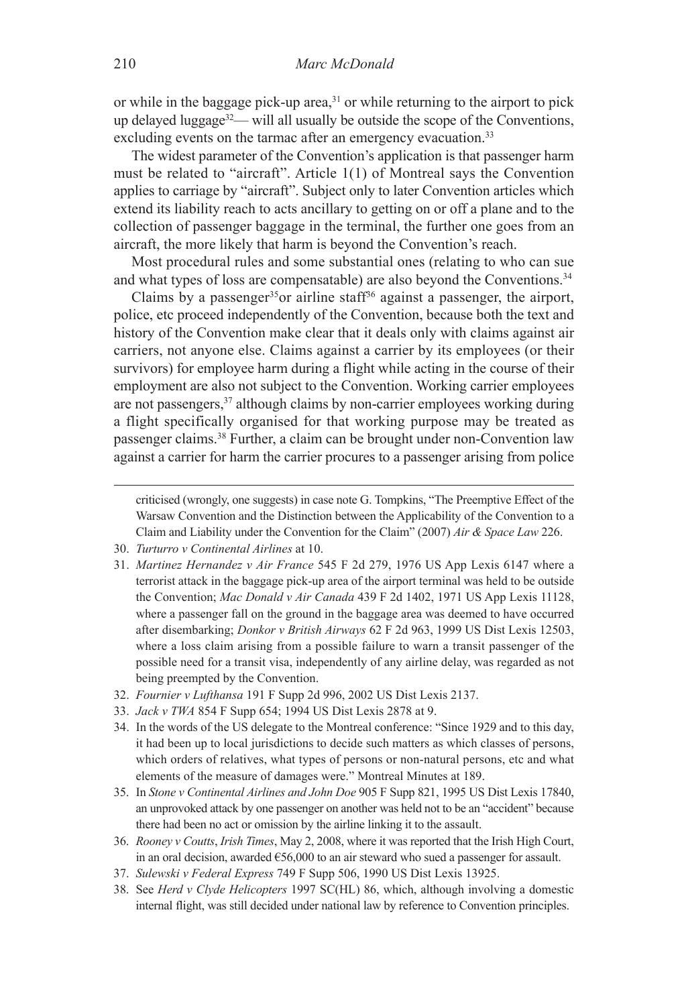or while in the baggage pick-up area, <sup>31</sup> or while returning to the airport to pick up delayed luggage<sup>32</sup>— will all usually be outside the scope of the Conventions, excluding events on the tarmac after an emergency evacuation.<sup>33</sup>

The widest parameter of the Convention's application is that passenger harm must be related to "aircraft". Article 1(1) of Montreal says the Convention applies to carriage by "aircraft". Subject only to later Convention articles which extend its liability reach to acts ancillary to getting on or off a plane and to the collection of passenger baggage in the terminal, the further one goes from an aircraft, the more likely that harm is beyond the Convention's reach.

Most procedural rules and some substantial ones (relating to who can sue and what types of loss are compensatable) are also beyond the Conventions.<sup>34</sup>

Claims by a passenger<sup>35</sup> or airline staff<sup>36</sup> against a passenger, the airport, police, etc proceed independently of the Convention, because both the text and history of the Convention make clear that it deals only with claims against air carriers, not anyone else. Claims against a carrier by its employees (or their survivors) for employee harm during a flight while acting in the course of their employment are also not subject to the Convention. Working carrier employees are not passengers, <sup>37</sup> although claims by non-carrier employees working during a flight specifically organised for that working purpose may be treated as passenger claims. <sup>38</sup> Further, a claim can be brought under non-Convention law against a carrier for harm the carrier procures to a passenger arising from police

criticised (wrongly, one suggests) in case note g. Tompkins, "The Preemptive effect of the Warsaw Convention and the Distinction between the Applicability of the Convention to a Claim and liability under the Convention for the Claim" (2007) *Air & Space Law* 226.

- 30. *Turturro v Continental Airlines* at 10.
- 31. *Martinez Hernandez v Air France* 545 F 2d 279, 1976 US App lexis 6147 where a terrorist attack in the baggage pick-up area of the airport terminal was held to be outside the Convention; *Mac Donald v Air Canada* 439 F 2d 1402, 1971 US App lexis 11128, where a passenger fall on the ground in the baggage area was deemed to have occurred after disembarking; *Donkor v British Airways* 62 F 2d 963, 1999 US Dist Lexis 12503, where a loss claim arising from a possible failure to warn a transit passenger of the possible need for a transit visa, independently of any airline delay, was regarded as not being preempted by the Convention.
- 32. Fournier v Lufthansa 191 F Supp 2d 996, 2002 US Dist Lexis 2137.
- 33. *Jack v TWA* 854 F Supp 654; 1994 US Dist Lexis 2878 at 9.
- 34. In the words of the US delegate to the Montreal conference: "Since 1929 and to this day, it had been up to local jurisdictions to decide such matters as which classes of persons, which orders of relatives, what types of persons or non-natural persons, etc and what elements of the measure of damages were." Montreal Minutes at 189.
- 35. In *Stone v Continental Airlines and John Doe* 905 F Supp 821, 1995 US dist lexis 17840, an unprovoked attack by one passenger on another was held not to be an "accident" because there had been no act or omission by the airline linking it to the assault.
- 36. *Rooney v Coutts*, *Irish Times*, May 2, 2008, where it was reported that the Irish high Court, in an oral decision, awarded €56,000 to an air steward who sued a passenger for assault.
- 37. *Sulewski v Federal Express* 749 F Supp 506, 1990 US Dist Lexis 13925.
- 38. See *Herd v Clyde Helicopters* 1997 SC(hl) 86, which, although involving a domestic internal flight, was still decided under national law by reference to Convention principles.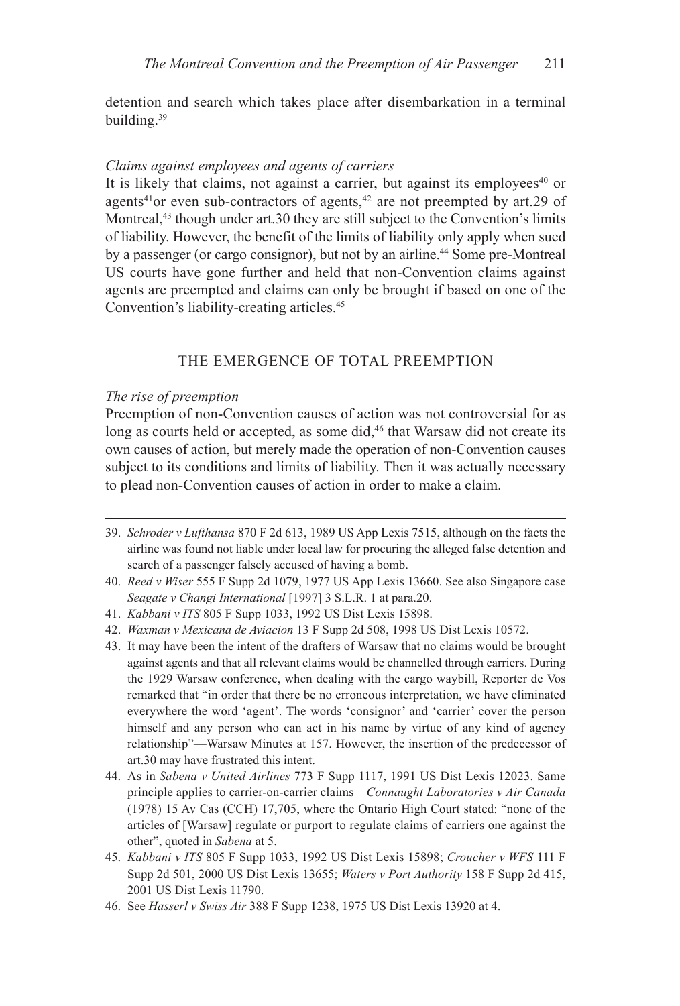detention and search which takes place after disembarkation in a terminal building. 39

## *Claims against employees and agents of carriers*

It is likely that claims, not against a carrier, but against its employees<sup>40</sup> or agents<sup>41</sup> or even sub-contractors of agents,<sup>42</sup> are not preempted by art.29 of Montreal, <sup>43</sup> though under art.30 they are still subject to the Convention's limits of liability. however, the benefit of the limits of liability only apply when sued by a passenger (or cargo consignor), but not by an airline. <sup>44</sup> Some pre-Montreal US courts have gone further and held that non-Convention claims against agents are preempted and claims can only be brought if based on one of the Convention's liability-creating articles. 45

## The eMeRgeNCe oF ToTAl PReeMPTIoN

## *The rise of preemption*

Preemption of non-Convention causes of action was not controversial for as long as courts held or accepted, as some did,<sup>46</sup> that Warsaw did not create its own causes of action, but merely made the operation of non-Convention causes subject to its conditions and limits of liability. Then it was actually necessary to plead non-Convention causes of action in order to make a claim.

- 39. *Schroder v Lufthansa* 870 F 2d 613, 1989 US App lexis 7515, although on the facts the airline was found not liable under local law for procuring the alleged false detention and search of a passenger falsely accused of having a bomb.
- 40. *Reed v Wiser* 555 F Supp 2d 1079, 1977 US App lexis 13660. See also Singapore case *Seagate v Changi International* [1997] 3 S.l.R. 1 at para.20.
- 41. *Kabbani v ITS* 805 F Supp 1033, 1992 US Dist Lexis 15898.
- 42. *Waxman v Mexicana de Aviacion* 13 F Supp 2d 508, 1998 US dist lexis 10572.
- 43. It may have been the intent of the drafters of Warsaw that no claims would be brought against agents and that all relevant claims would be channelled through carriers. During the 1929 Warsaw conference, when dealing with the cargo waybill, Reporter de vos remarked that "in order that there be no erroneous interpretation, we have eliminated everywhere the word 'agent'. The words 'consignor' and 'carrier' cover the person himself and any person who can act in his name by virtue of any kind of agency relationship"—Warsaw Minutes at 157. however, the insertion of the predecessor of art.30 may have frustrated this intent.
- 44. As in *Sabena v United Airlines* 773 F Supp 1117, 1991 US Dist Lexis 12023. Same principle applies to carrier-on-carrier claims—*Connaught Laboratories v Air Canada* (1978) 15 Av Cas (CCh) 17,705, where the ontario high Court stated: "none of the articles of [Warsaw] regulate or purport to regulate claims of carriers one against the other", quoted in *Sabena* at 5.
- 45. *Kabbani v ITS* 805 F Supp 1033, 1992 US dist lexis 15898; *Croucher v WFS* 111 F Supp 2d 501, 2000 US dist lexis 13655; *Waters v Port Authority* 158 F Supp 2d 415, 2001 US Dist Lexis 11790.
- 46. See *Hasserl v Swiss Air* 388 F Supp 1238, 1975 US Dist Lexis 13920 at 4.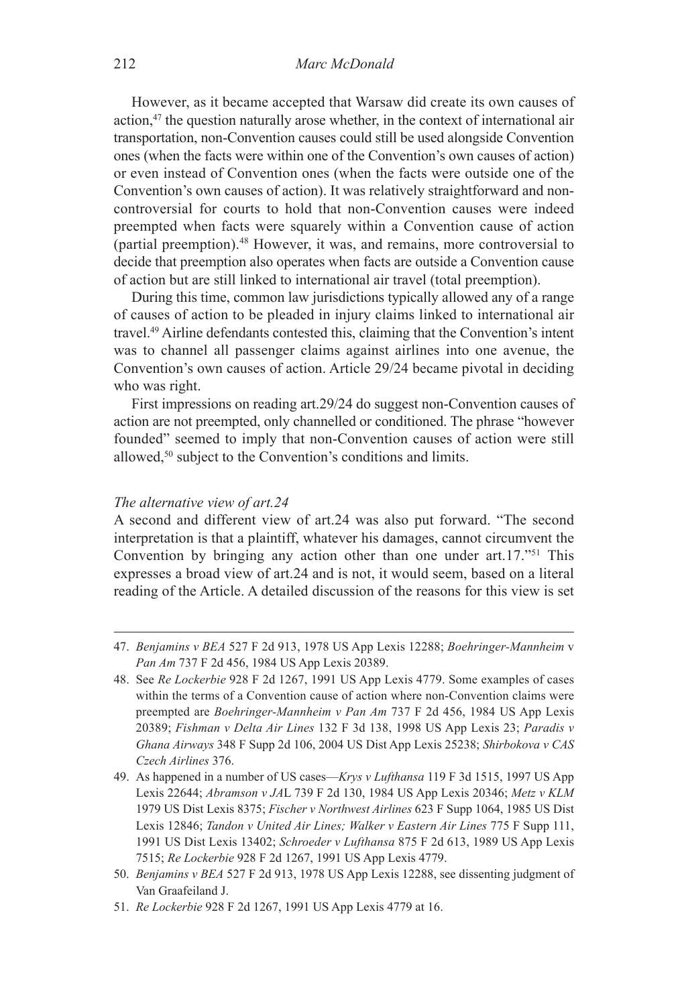however, as it became accepted that Warsaw did create its own causes of action, <sup>47</sup> the question naturally arose whether, in the context of international air transportation, non-Convention causes could still be used alongside Convention ones (when the facts were within one of the Convention's own causes of action) or even instead of Convention ones (when the facts were outside one of the Convention's own causes of action). It was relatively straightforward and noncontroversial for courts to hold that non-Convention causes were indeed preempted when facts were squarely within a Convention cause of action (partial preemption). <sup>48</sup> however, it was, and remains, more controversial to decide that preemption also operates when facts are outside a Convention cause of action but are still linked to international air travel (total preemption).

During this time, common law jurisdictions typically allowed any of a range of causes of action to be pleaded in injury claims linked to international air travel. <sup>49</sup> Airline defendants contested this, claiming that the Convention's intent was to channel all passenger claims against airlines into one avenue, the Convention's own causes of action. Article 29/24 became pivotal in deciding who was right.

First impressions on reading art.29/24 do suggest non-Convention causes of action are not preempted, only channelled or conditioned. The phrase "however founded" seemed to imply that non-Convention causes of action were still allowed, <sup>50</sup> subject to the Convention's conditions and limits.

## *The alternative view of art.24*

A second and different view of art.24 was also put forward. "The second interpretation is that a plaintiff, whatever his damages, cannot circumvent the Convention by bringing any action other than one under art.17."51 This expresses a broad view of art.24 and is not, it would seem, based on a literal reading of the Article. A detailed discussion of the reasons for this view is set

<sup>47.</sup> *Benjamins v BEA* 527 F 2d 913, 1978 US App lexis 12288; *Boehringer-Mannheim* v *Pan Am* 737 F 2d 456, 1984 US App lexis 20389.

<sup>48.</sup> See *Re Lockerbie* 928 F 2d 1267, 1991 US App lexis 4779. Some examples of cases within the terms of a Convention cause of action where non-Convention claims were preempted are *Boehringer-Mannheim v Pan Am* 737 F 2d 456, 1984 US App lexis 20389; *Fishman v Delta Air Lines* 132 F 3d 138, 1998 US App lexis 23; *Paradis v Ghana Airways* 348 F Supp 2d 106, 2004 US dist App lexis 25238; *Shirbokova v CAS Czech Airlines* 376.

<sup>49.</sup> As happened in a number of US cases—*Krys v Lufthansa* 119 F 3d 1515, 1997 US App lexis 22644; *Abramson v JA*l 739 F 2d 130, 1984 US App lexis 20346; *Metz v KLM* 1979 US dist lexis 8375; *Fischer v Northwest Airlines* 623 F Supp 1064, 1985 US dist lexis 12846; *Tandon v United Air Lines; Walker v Eastern Air Lines* 775 F Supp 111, 1991 US dist lexis 13402; *Schroeder v Lufthansa* 875 F 2d 613, 1989 US App lexis 7515; *Re Lockerbie* 928 F 2d 1267, 1991 US App lexis 4779.

<sup>50.</sup> *Benjamins v BEA* 527 F 2d 913, 1978 US App lexis 12288, see dissenting judgment of Van Graafeiland J.

<sup>51.</sup> *Re Lockerbie* 928 F 2d 1267, 1991 US App lexis 4779 at 16.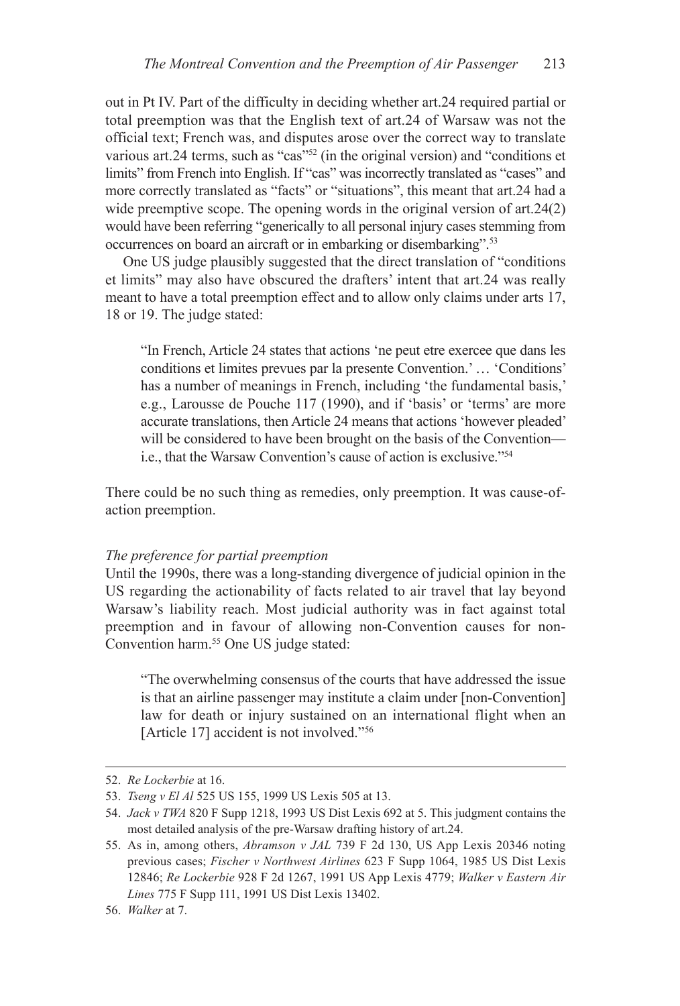out in Pt Iv. Part of the difficulty in deciding whether art.24 required partial or total preemption was that the English text of art.24 of Warsaw was not the official text; French was, and disputes arose over the correct way to translate various art.24 terms, such as "cas"<sup>52</sup> (in the original version) and "conditions et limits" from French into English. If "cas" was incorrectly translated as "cases" and more correctly translated as "facts" or "situations", this meant that art.24 had a wide preemptive scope. The opening words in the original version of art. 24(2) would have been referring "generically to all personal injury cases stemming from occurrences on board an aircraft or in embarking or disembarking".<sup>53</sup>

one US judge plausibly suggested that the direct translation of "conditions et limits" may also have obscured the drafters' intent that art.24 was really meant to have a total preemption effect and to allow only claims under arts 17, 18 or 19. The judge stated:

"In French, Article 24 states that actions 'ne peut etre exercee que dans les conditions et limites prevues par la presente Convention.'… 'Conditions' has a number of meanings in French, including 'the fundamental basis,' e.g., larousse de Pouche 117 (1990), and if 'basis' or 'terms' are more accurate translations, then Article 24 means that actions 'however pleaded' will be considered to have been brought on the basis of the Convention i.e., that the Warsaw Convention's cause of action is exclusive."54

There could be no such thing as remedies, only preemption. It was cause-ofaction preemption.

## *The preference for partial preemption*

Until the 1990s, there was a long-standing divergence of judicial opinion in the US regarding the actionability of facts related to air travel that lay beyond Warsaw's liability reach. Most judicial authority was in fact against total preemption and in favour of allowing non-Convention causes for non-Convention harm.<sup>55</sup> One US judge stated:

"The overwhelming consensus of the courts that have addressed the issue is that an airline passenger may institute a claim under [non-Convention] law for death or injury sustained on an international flight when an [Article 17] accident is not involved."<sup>56</sup>

<sup>52.</sup> *Re Lockerbie* at 16.

<sup>53.</sup> *Tseng v El Al* 525 US 155, 1999 US lexis 505 at 13.

<sup>54.</sup> *Jack v TWA* 820 F Supp 1218, 1993 US Dist Lexis 692 at 5. This judgment contains the most detailed analysis of the pre-Warsaw drafting history of art.24.

<sup>55.</sup> As in, among others, *Abramson v JAL* 739 F 2d 130, US App lexis 20346 noting previous cases; *Fischer v Northwest Airlines* 623 F Supp 1064, 1985 US Dist Lexis 12846; *Re Lockerbie* 928 F 2d 1267, 1991 US App lexis 4779; *Walker v Eastern Air Lines* 775 F Supp 111, 1991 US Dist Lexis 13402.

<sup>56.</sup> *Walker* at 7.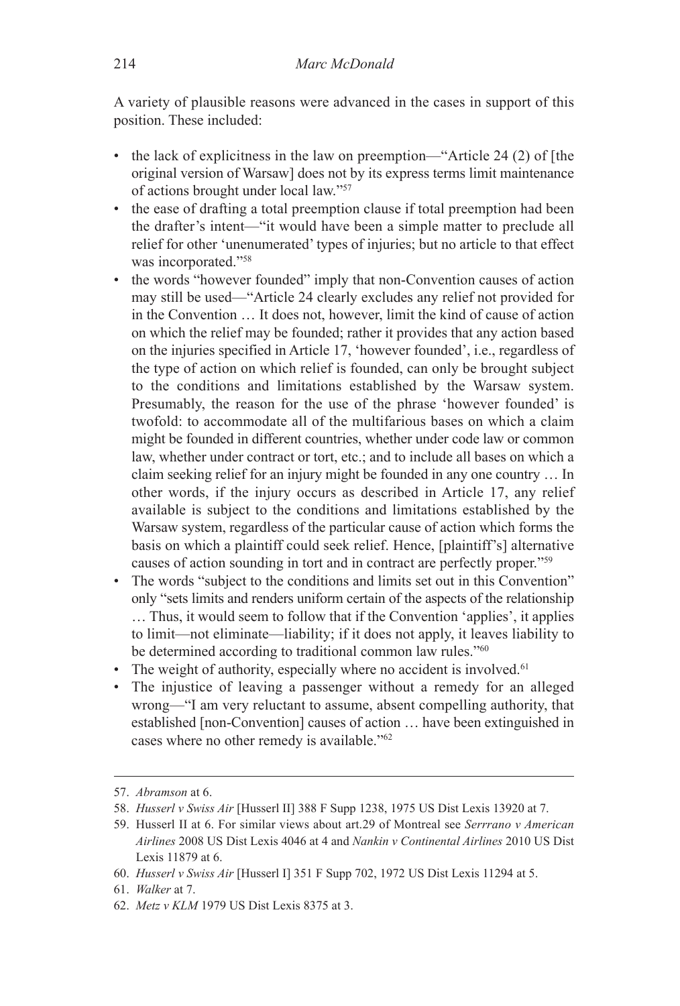A variety of plausible reasons were advanced in the cases in support of this position. These included:

- the lack of explicitness in the law on preemption—"Article 24 (2) of [the original version of Warsaw] does not by its express terms limit maintenance of actions brought under local law."57
- the ease of drafting a total preemption clause if total preemption had been the drafter's intent—"it would have been a simple matter to preclude all relief for other 'unenumerated'types of injuries; but no article to that effect was incorporated."<sup>58</sup>
- the words "however founded" imply that non-Convention causes of action may still be used—"Article 24 clearly excludes any relief not provided for in the Convention … It does not, however, limit the kind of cause of action on which the relief may be founded; rather it provides that any action based on the injuries specified in Article 17, 'however founded', i.e., regardless of the type of action on which relief is founded, can only be brought subject to the conditions and limitations established by the Warsaw system. Presumably, the reason for the use of the phrase 'however founded' is twofold: to accommodate all of the multifarious bases on which a claim might be founded in different countries, whether under code law or common law, whether under contract or tort, etc.; and to include all bases on which a claim seeking relief for an injury might be founded in any one country … In other words, if the injury occurs as described in Article 17, any relief available is subject to the conditions and limitations established by the Warsaw system, regardless of the particular cause of action which forms the basis on which a plaintiff could seek relief. hence, [plaintiff's] alternative causes of action sounding in tort and in contract are perfectly proper."59
- The words "subject to the conditions and limits set out in this Convention" only "sets limits and renders uniform certain of the aspects of the relationship … Thus, it would seem to follow that if the Convention 'applies', it applies to limit—not eliminate—liability; if it does not apply, it leaves liability to be determined according to traditional common law rules."<sup>60</sup>
- The weight of authority, especially where no accident is involved.<sup>61</sup>
- The injustice of leaving a passenger without a remedy for an alleged wrong—"I am very reluctant to assume, absent compelling authority, that established [non-Convention] causes of action … have been extinguished in cases where no other remedy is available."62

<sup>57.</sup> *Abramson* at 6.

<sup>58.</sup> *Husserl v Swiss Air* [husserl II] 388 F Supp 1238, 1975 US dist lexis 13920 at 7.

<sup>59.</sup> husserl II at 6. For similar views about art.29 of Montreal see *Serrrano v American Airlines* 2008 US dist lexis 4046 at 4 and *Nankin v Continental Airlines* 2010 US dist Lexis 11879 at 6.

<sup>60.</sup> *Husserl v Swiss Air* [Husserl I] 351 F Supp 702, 1972 US Dist Lexis 11294 at 5.

<sup>61.</sup> *Walker* at 7.

<sup>62.</sup> *Metz v KLM* 1979 US dist lexis 8375 at 3.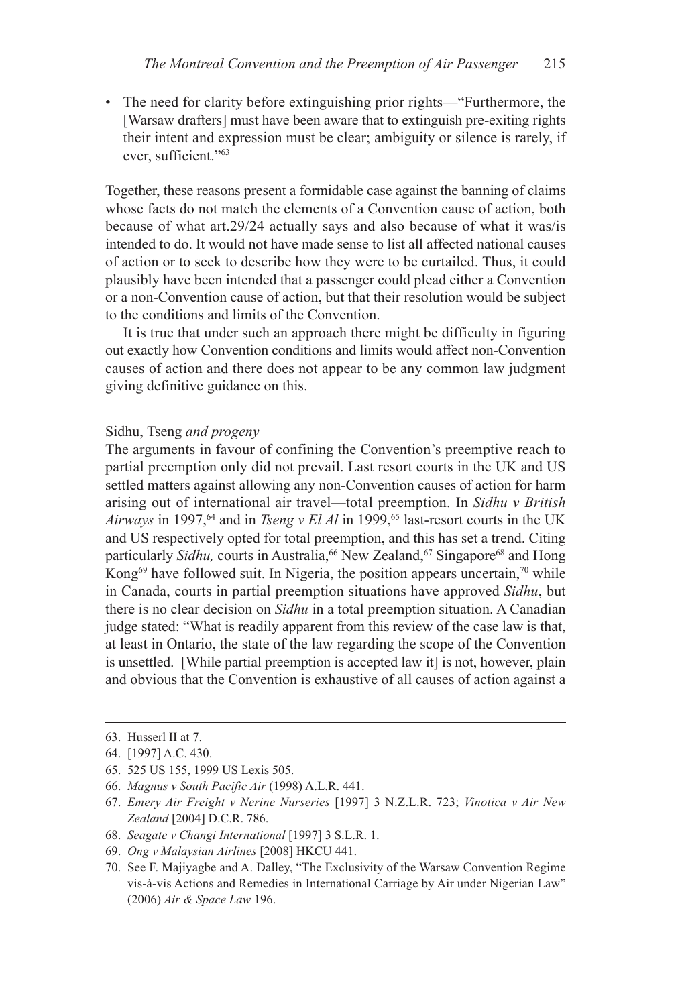• The need for clarity before extinguishing prior rights—"Furthermore, the [Warsaw drafters] must have been aware that to extinguish pre-exiting rights their intent and expression must be clear; ambiguity or silence is rarely, if ever, sufficient."63

Together, these reasons present a formidable case against the banning of claims whose facts do not match the elements of a Convention cause of action, both because of what art.29/24 actually says and also because of what it was/is intended to do. It would not have made sense to list all affected national causes of action or to seek to describe how they were to be curtailed. Thus, it could plausibly have been intended that a passenger could plead either a Convention or a non-Convention cause of action, but that their resolution would be subject to the conditions and limits of the Convention.

It is true that under such an approach there might be difficulty in figuring out exactly how Convention conditions and limits would affect non-Convention causes of action and there does not appear to be any common law judgment giving definitive guidance on this.

## Sidhu, Tseng *and progeny*

The arguments in favour of confining the Convention's preemptive reach to partial preemption only did not prevail. last resort courts in the UK and US settled matters against allowing any non-Convention causes of action for harm arising out of international air travel—total preemption. In *Sidhu v British Airways* in 1997, <sup>64</sup> and in *Tseng v El Al* in 1999, <sup>65</sup> last-resort courts in the UK and US respectively opted for total preemption, and this has set a trend. Citing particularly Sidhu, courts in Australia,<sup>66</sup> New Zealand,<sup>67</sup> Singapore<sup>68</sup> and Hong Kong<sup>69</sup> have followed suit. In Nigeria, the position appears uncertain,<sup>70</sup> while in Canada, courts in partial preemption situations have approved *Sidhu*, but there is no clear decision on *Sidhu* in a total preemption situation. A Canadian judge stated: "What is readily apparent from this review of the case law is that, at least in ontario, the state of the law regarding the scope of the Convention is unsettled. [While partial preemption is accepted law it] is not, however, plain and obvious that the Convention is exhaustive of all causes of action against a

<sup>63.</sup> husserl II at 7.

<sup>64.</sup> [1997] A.C. 430.

<sup>65.</sup> 525 US 155, 1999 US lexis 505.

<sup>66.</sup> *Magnus v South Pacific Air* (1998) A.l.R. 441.

<sup>67.</sup> *Emery Air Freight v Nerine Nurseries* [1997] 3 N.Z.l.R. 723; *Vinotica v Air New* Zealand<sup>[2004]</sup> D.C.R. 786.

<sup>68.</sup> *Seagate v Changi International* [1997] 3 S.l.R. 1.

<sup>69.</sup> *Ong v Malaysian Airlines* [2008] hKCU 441.

<sup>70.</sup> See F. Majiyagbe and A. Dalley, "The Exclusivity of the Warsaw Convention Regime vis-à-vis Actions and Remedies in International Carriage by Air under Nigerian law" (2006) *Air & Space Law* 196.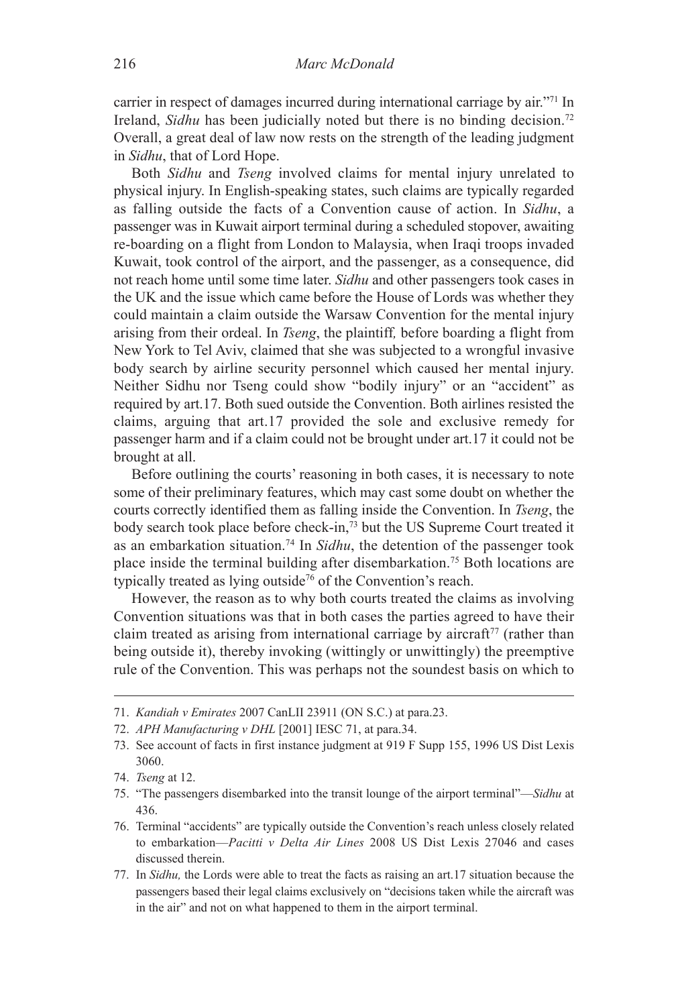carrier in respect of damages incurred during international carriage by air."71 In Ireland, *Sidhu* has been judicially noted but there is no binding decision.<sup>72</sup> Overall, a great deal of law now rests on the strength of the leading judgment in *Sidhu*, that of Lord Hope.

Both *Sidhu* and *Tseng* involved claims for mental injury unrelated to physical injury. In English-speaking states, such claims are typically regarded as falling outside the facts of a Convention cause of action. In *Sidhu*, a passenger was in Kuwait airport terminal during a scheduled stopover, awaiting re-boarding on a flight from london to Malaysia, when Iraqi troops invaded Kuwait, took control of the airport, and the passenger, as a consequence, did not reach home until some time later. *Sidhu* and other passengers took cases in the UK and the issue which came before the house of lords was whether they could maintain a claim outside the Warsaw Convention for the mental injury arising from their ordeal. In *Tseng*, the plaintiff*,* before boarding a flight from New York to Tel Aviv, claimed that she was subjected to a wrongful invasive body search by airline security personnel which caused her mental injury. Neither Sidhu nor Tseng could show "bodily injury" or an "accident" as required by art.17. Both sued outside the Convention. Both airlines resisted the claims, arguing that art.17 provided the sole and exclusive remedy for passenger harm and if a claim could not be brought under art.17 it could not be brought at all.

Before outlining the courts' reasoning in both cases, it is necessary to note some of their preliminary features, which may cast some doubt on whether the courts correctly identified them as falling inside the Convention. In *Tseng*, the body search took place before check-in, <sup>73</sup> but the US Supreme Court treated it as an embarkation situation. <sup>74</sup> In *Sidhu*, the detention of the passenger took place inside the terminal building after disembarkation. <sup>75</sup> Both locations are typically treated as lying outside<sup>76</sup> of the Convention's reach.

however, the reason as to why both courts treated the claims as involving Convention situations was that in both cases the parties agreed to have their claim treated as arising from international carriage by aircraft<sup>77</sup> (rather than being outside it), thereby invoking (wittingly or unwittingly) the preemptive rule of the Convention. This was perhaps not the soundest basis on which to

- 71. *Kandiah v Emirates* 2007 CanlII 23911 (oN S.C.) at para.23.
- 72. *APH Manufacturing v DHL* [2001] IeSC 71, at para.34.
- 73. See account of facts in first instance judgment at 919 F Supp 155, 1996 US Dist Lexis 3060.
- 74. *Tseng* at 12.
- 75. "The passengers disembarked into the transit lounge of the airport terminal"—*Sidhu* at 436.
- 76. Terminal "accidents" are typically outside the Convention's reach unless closely related to embarkation—*Pacitti v Delta Air Lines* 2008 US Dist Lexis 27046 and cases discussed therein.
- 77. In *Sidhu,* the lords were able to treat the facts as raising an art.17 situation because the passengers based their legal claims exclusively on "decisions taken while the aircraft was in the air" and not on what happened to them in the airport terminal.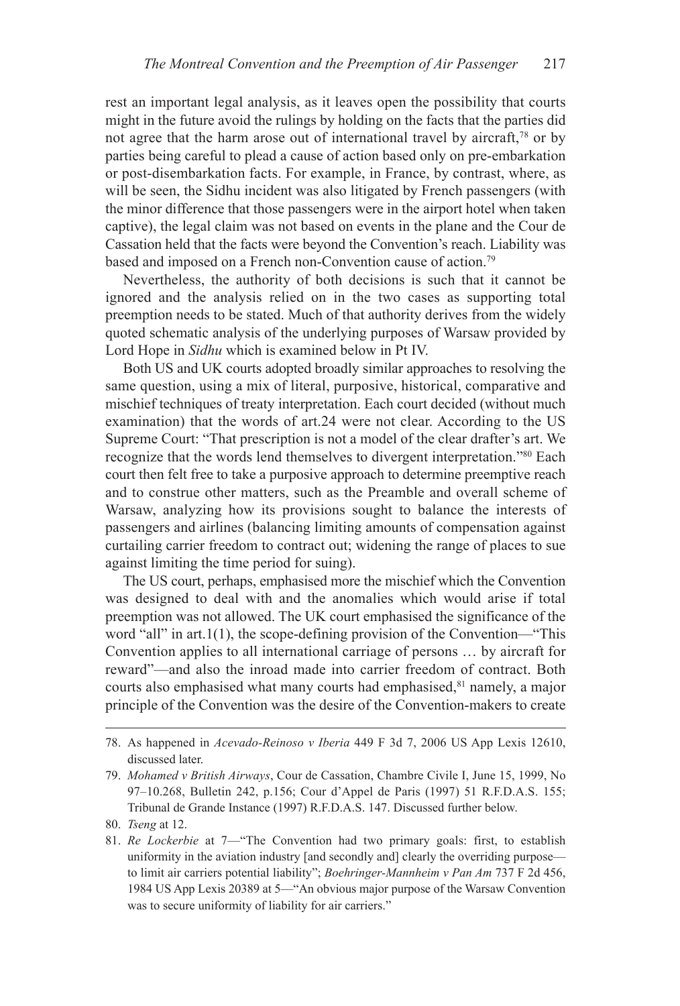rest an important legal analysis, as it leaves open the possibility that courts might in the future avoid the rulings by holding on the facts that the parties did not agree that the harm arose out of international travel by aircraft, <sup>78</sup> or by parties being careful to plead a cause of action based only on pre-embarkation or post-disembarkation facts. For example, in France, by contrast, where, as will be seen, the Sidhu incident was also litigated by French passengers (with the minor difference that those passengers were in the airport hotel when taken captive), the legal claim was not based on events in the plane and the Cour de Cassation held that the facts were beyond the Convention's reach. liability was based and imposed on a French non-Convention cause of action.<sup>79</sup>

Nevertheless, the authority of both decisions is such that it cannot be ignored and the analysis relied on in the two cases as supporting total preemption needs to be stated. Much of that authority derives from the widely quoted schematic analysis of the underlying purposes of Warsaw provided by Lord Hope in *Sidhu* which is examined below in Pt IV.

Both US and UK courts adopted broadly similar approaches to resolving the same question, using a mix of literal, purposive, historical, comparative and mischief techniques of treaty interpretation. Each court decided (without much examination) that the words of art.24 were not clear. According to the US Supreme Court: "That prescription is not a model of the clear drafter's art. We recognize that the words lend themselves to divergent interpretation."<sup>80</sup> Each court then felt free to take a purposive approach to determine preemptive reach and to construe other matters, such as the Preamble and overall scheme of Warsaw, analyzing how its provisions sought to balance the interests of passengers and airlines (balancing limiting amounts of compensation against curtailing carrier freedom to contract out; widening the range of places to sue against limiting the time period for suing).

The US court, perhaps, emphasised more the mischief which the Convention was designed to deal with and the anomalies which would arise if total preemption was not allowed. The UK court emphasised the significance of the word "all" in art.1(1), the scope-defining provision of the Convention—"This Convention applies to all international carriage of persons … by aircraft for reward"—and also the inroad made into carrier freedom of contract. Both courts also emphasised what many courts had emphasised, <sup>81</sup> namely, a major principle of the Convention was the desire of the Convention-makers to create

<sup>78.</sup> As happened in *Acevado-Reinoso v Iberia* 449 F 3d 7, 2006 US App lexis 12610, discussed later.

<sup>79.</sup> *Mohamed v British Airways*, Cour de Cassation, Chambre Civile I, June 15, 1999, No 97-10.268, Bulletin 242, p.156; Cour d'Appel de Paris (1997) 51 R.F.D.A.S. 155; Tribunal de Grande Instance (1997) R.F.D.A.S. 147. Discussed further below.

<sup>80.</sup> *Tseng* at 12.

<sup>81.</sup> *Re Lockerbie* at 7—"The Convention had two primary goals: first, to establish uniformity in the aviation industry [and secondly and] clearly the overriding purpose to limit air carriers potential liability"; *Boehringer-Mannheim v Pan Am* 737 F 2d 456, 1984 US App lexis 20389 at 5—"An obvious major purpose of the Warsaw Convention was to secure uniformity of liability for air carriers."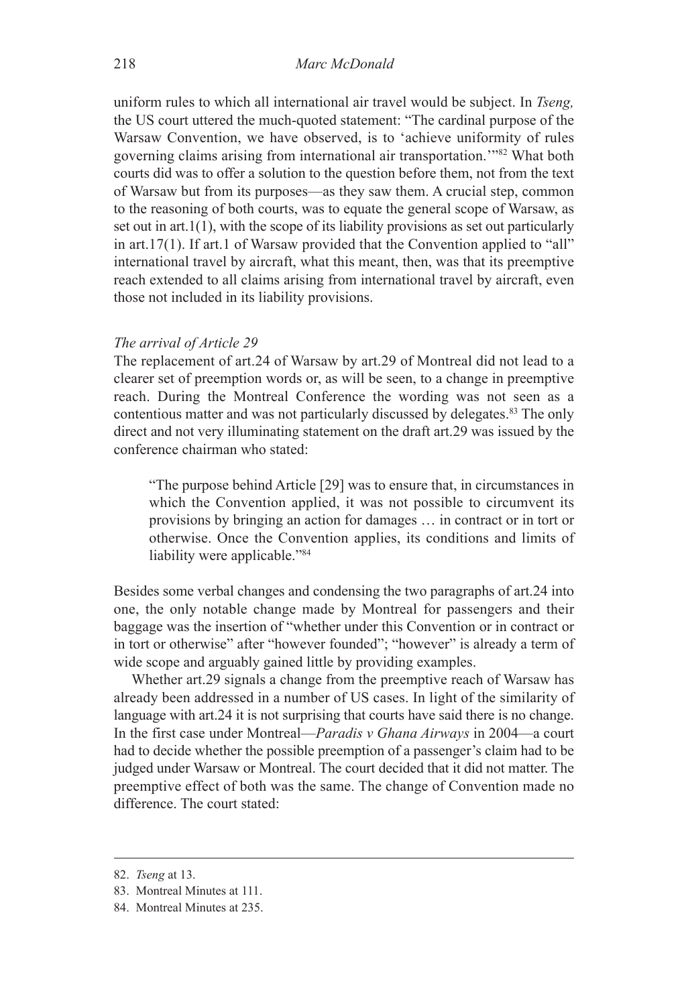uniform rules to which all international air travel would be subject. In *Tseng,* the US court uttered the much-quoted statement: "The cardinal purpose of the Warsaw Convention, we have observed, is to 'achieve uniformity of rules governing claims arising from international air transportation.'"82 What both courts did was to offer a solution to the question before them, not from the text of Warsaw but from its purposes—as they saw them. A crucial step, common to the reasoning of both courts, was to equate the general scope of Warsaw, as set out in art.1(1), with the scope of its liability provisions as set out particularly in art.17(1). If art.1 of Warsaw provided that the Convention applied to "all" international travel by aircraft, what this meant, then, was that its preemptive reach extended to all claims arising from international travel by aircraft, even those not included in its liability provisions.

## *The arrival of Article 29*

The replacement of art.24 of Warsaw by art.29 of Montreal did not lead to a clearer set of preemption words or, as will be seen, to a change in preemptive reach. During the Montreal Conference the wording was not seen as a contentious matter and was not particularly discussed by delegates. <sup>83</sup> The only direct and not very illuminating statement on the draft art.29 was issued by the conference chairman who stated:

"The purpose behind Article [29] was to ensure that, in circumstances in which the Convention applied, it was not possible to circumvent its provisions by bringing an action for damages … in contract or in tort or otherwise. once the Convention applies, its conditions and limits of liability were applicable."84

Besides some verbal changes and condensing the two paragraphs of art.24 into one, the only notable change made by Montreal for passengers and their baggage was the insertion of "whether under this Convention or in contract or in tort or otherwise" after "however founded"; "however" is already a term of wide scope and arguably gained little by providing examples.

Whether art.29 signals a change from the preemptive reach of Warsaw has already been addressed in a number of US cases. In light of the similarity of language with art.24 it is not surprising that courts have said there is no change. In the first case under Montreal—*Paradis v Ghana Airways* in 2004—a court had to decide whether the possible preemption of a passenger's claim had to be judged under Warsaw or Montreal. The court decided that it did not matter. The preemptive effect of both was the same. The change of Convention made no difference. The court stated:

<sup>82.</sup> *Tseng* at 13.

<sup>83.</sup> Montreal Minutes at 111.

<sup>84.</sup> Montreal Minutes at 235.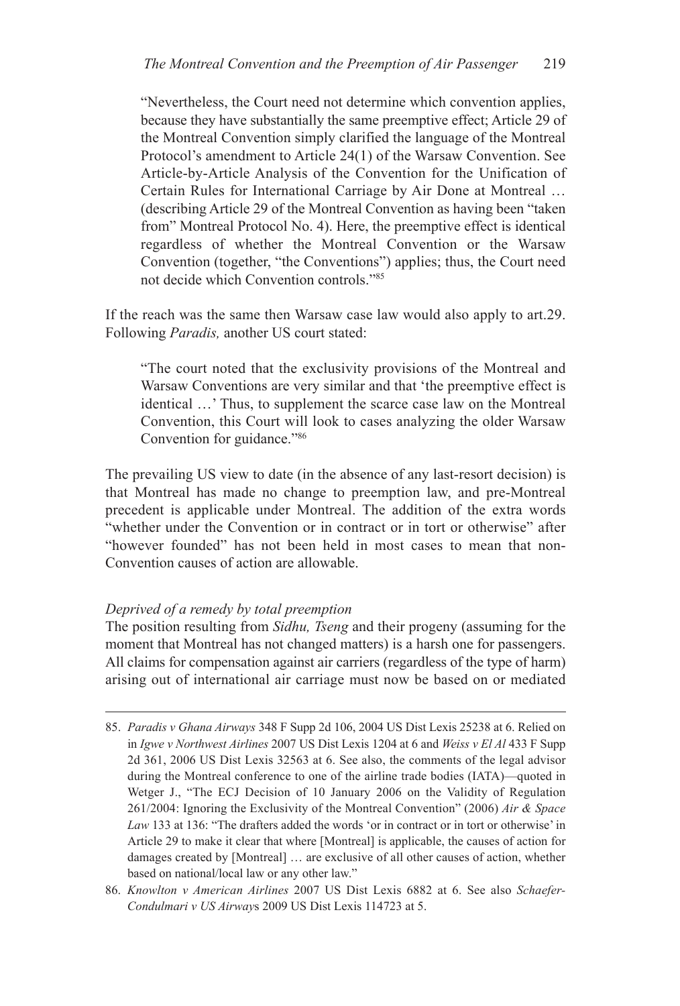"Nevertheless, the Court need not determine which convention applies, because they have substantially the same preemptive effect; Article 29 of the Montreal Convention simply clarified the language of the Montreal Protocol's amendment to Article 24(1) of the Warsaw Convention. See Article-by-Article Analysis of the Convention for the Unification of Certain Rules for International Carriage by Air Done at Montreal ... (describing Article 29 of the Montreal Convention as having been "taken from" Montreal Protocol No. 4). here, the preemptive effect is identical regardless of whether the Montreal Convention or the Warsaw Convention (together, "the Conventions") applies; thus, the Court need not decide which Convention controls<sup>785</sup>

If the reach was the same then Warsaw case law would also apply to art.29. Following *Paradis,* another US court stated:

"The court noted that the exclusivity provisions of the Montreal and Warsaw Conventions are very similar and that 'the preemptive effect is identical …' Thus, to supplement the scarce case law on the Montreal Convention, this Court will look to cases analyzing the older Warsaw Convention for guidance."86

The prevailing US view to date (in the absence of any last-resort decision) is that Montreal has made no change to preemption law, and pre-Montreal precedent is applicable under Montreal. The addition of the extra words "whether under the Convention or in contract or in tort or otherwise" after "however founded" has not been held in most cases to mean that non-Convention causes of action are allowable.

## *Deprived of a remedy by total preemption*

The position resulting from *Sidhu, Tseng* and their progeny (assuming for the moment that Montreal has not changed matters) is a harsh one for passengers. All claims for compensation against air carriers (regardless of the type of harm) arising out of international air carriage must now be based on or mediated

- 85. *Paradis v Ghana Airways* 348 F Supp 2d 106, 2004 US dist lexis 25238 at 6. Relied on in *Igwe v Northwest Airlines* 2007 US Dist Lexis 1204 at 6 and *Weiss v El Al* 433 F Supp 2d 361, 2006 US Dist Lexis 32563 at 6. See also, the comments of the legal advisor during the Montreal conference to one of the airline trade bodies (IATA)—quoted in Wetger J., "The ECJ Decision of 10 January 2006 on the Validity of Regulation 261/2004: Ignoring the exclusivity of the Montreal Convention" (2006) *Air & Space Law* 133 at 136: "The drafters added the words 'or in contract or in tort or otherwise' in Article 29 to make it clear that where [Montreal] is applicable, the causes of action for damages created by [Montreal] … are exclusive of all other causes of action, whether based on national/local law or any other law."
- 86. *Knowlton v American Airlines* 2007 US Dist Lexis 6882 at 6. See also *Schaefer*-*Condulmari v US Airways* 2009 US Dist Lexis 114723 at 5.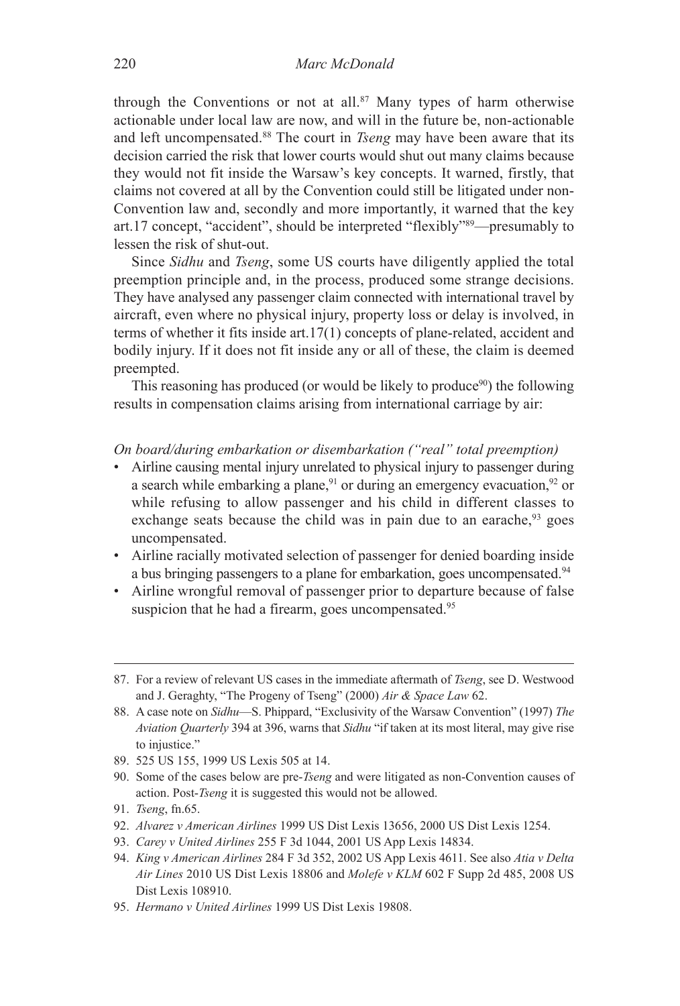through the Conventions or not at all. <sup>87</sup> Many types of harm otherwise actionable under local law are now, and will in the future be, non-actionable and left uncompensated. <sup>88</sup> The court in *Tseng* may have been aware that its decision carried the risk that lower courts would shut out many claims because they would not fit inside the Warsaw's key concepts. It warned, firstly, that claims not covered at all by the Convention could still be litigated under non-Convention law and, secondly and more importantly, it warned that the key art.17 concept, "accident", should be interpreted "flexibly"89 —presumably to lessen the risk of shut-out.

Since *Sidhu* and *Tseng*, some US courts have diligently applied the total preemption principle and, in the process, produced some strange decisions. They have analysed any passenger claim connected with international travel by aircraft, even where no physical injury, property loss or delay is involved, in terms of whether it fits inside art.17(1) concepts of plane-related, accident and bodily injury. If it does not fit inside any or all of these, the claim is deemed preempted.

This reasoning has produced (or would be likely to produce<sup>90</sup>) the following results in compensation claims arising from international carriage by air:

## *On board/during embarkation or disembarkation ("real" total preemption)*

- Airline causing mental injury unrelated to physical injury to passenger during a search while embarking a plane,<sup>91</sup> or during an emergency evacuation,<sup>92</sup> or while refusing to allow passenger and his child in different classes to exchange seats because the child was in pain due to an earache,<sup>93</sup> goes uncompensated.
- Airline racially motivated selection of passenger for denied boarding inside a bus bringing passengers to a plane for embarkation, goes uncompensated.<sup>94</sup>
- Airline wrongful removal of passenger prior to departure because of false suspicion that he had a firearm, goes uncompensated.<sup>95</sup>

<sup>87.</sup> For a review of relevant US cases in the immediate aftermath of *Tseng*, see d. Westwood and J. geraghty, "The Progeny of Tseng" (2000) *Air & Space Law* 62.

<sup>88.</sup> A case note on *Sidhu*—S. Phippard, "Exclusivity of the Warsaw Convention" (1997) *The Aviation Quarterly* 394 at 396, warns that *Sidhu* "if taken at its most literal, may give rise to injustice."

<sup>89.</sup> 525 US 155, 1999 US lexis 505 at 14.

<sup>90.</sup> Some of the cases below are pre-*Tseng* and were litigated as non-Convention causes of action. Post-*Tseng* it is suggested this would not be allowed.

<sup>91.</sup> *Tseng*, fn.65.

<sup>92.</sup> *Alvarez v American Airlines* 1999 US Dist Lexis 13656, 2000 US Dist Lexis 1254.

<sup>93.</sup> *Carey v United Airlines* 255 F 3d 1044, 2001 US App lexis 14834.

<sup>94.</sup> *King v American Airlines* 284 F 3d 352, 2002 US App lexis 4611. See also *Atia v Delta Air Lines* 2010 US dist lexis 18806 and *Molefe v KLM* 602 F Supp 2d 485, 2008 US Dist Lexis 108910.

<sup>95.</sup> *Hermano v United Airlines* 1999 US Dist Lexis 19808.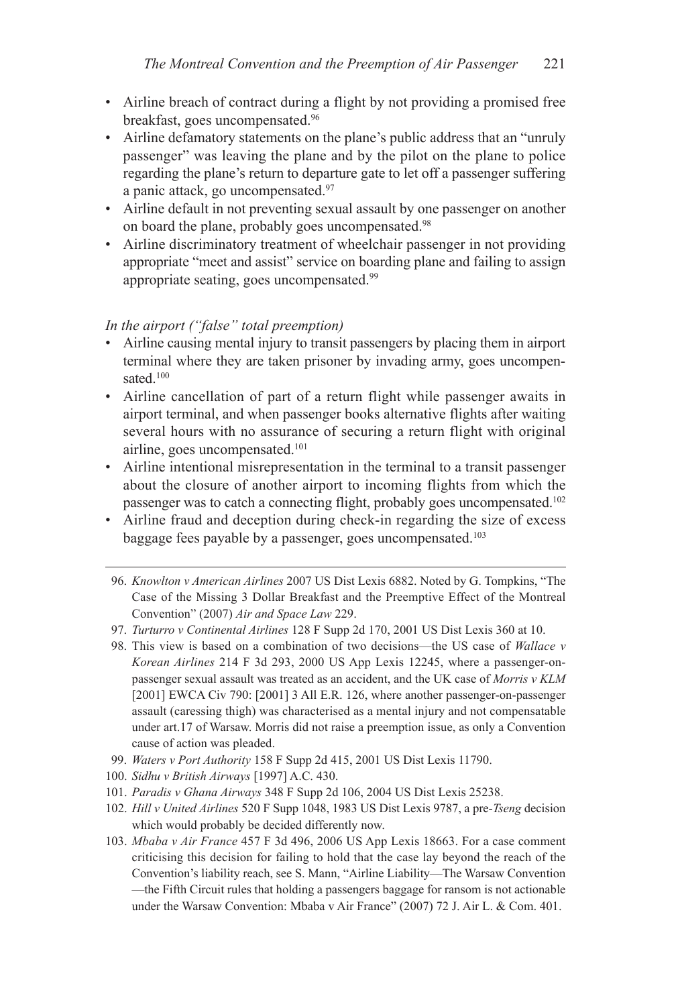- Airline breach of contract during a flight by not providing a promised free breakfast, goes uncompensated. 96
- Airline defamatory statements on the plane's public address that an "unruly passenger" was leaving the plane and by the pilot on the plane to police regarding the plane's return to departure gate to let off a passenger suffering a panic attack, go uncompensated.<sup>97</sup>
- Airline default in not preventing sexual assault by one passenger on another on board the plane, probably goes uncompensated. 98
- Airline discriminatory treatment of wheelchair passenger in not providing appropriate "meet and assist" service on boarding plane and failing to assign appropriate seating, goes uncompensated.<sup>99</sup>

## *In the airport ("false" total preemption)*

- Airline causing mental injury to transit passengers by placing them in airport terminal where they are taken prisoner by invading army, goes uncompensated. 100
- Airline cancellation of part of a return flight while passenger awaits in airport terminal, and when passenger books alternative flights after waiting several hours with no assurance of securing a return flight with original airline, goes uncompensated. 101
- Airline intentional misrepresentation in the terminal to a transit passenger about the closure of another airport to incoming flights from which the passenger was to catch a connecting flight, probably goes uncompensated. 102
- Airline fraud and deception during check-in regarding the size of excess baggage fees payable by a passenger, goes uncompensated. 103
- 96. *Knowlton v American Airlines* 2007 US Dist Lexis 6882. Noted by G. Tompkins, "The Case of the Missing 3 Dollar Breakfast and the Preemptive Effect of the Montreal Convention" (2007) *Air and Space Law* 229.
- 97. *Turturro v Continental Airlines* 128 F Supp 2d 170, 2001 US dist lexis 360 at 10.
- 98. This view is based on a combination of two decisions—the US case of *Wallace v Korean Airlines* 214 F 3d 293, 2000 US App lexis 12245, where a passenger-onpassenger sexual assault was treated as an accident, and the UK case of *Morris v KLM* [2001] EWCA Civ 790: [2001] 3 All E.R. 126, where another passenger-on-passenger assault (caressing thigh) was characterised as a mental injury and not compensatable under art.17 of Warsaw. Morris did not raise a preemption issue, as only a Convention cause of action was pleaded.
- 99. *Waters v Port Authority* 158 F Supp 2d 415, 2001 US Dist Lexis 11790.
- 100. *Sidhu v British Airways* [1997] A.C. 430.
- 101. *Paradis v Ghana Airways* 348 F Supp 2d 106, 2004 US Dist Lexis 25238.
- 102. *Hill v United Airlines* 520 F Supp 1048, 1983 US dist lexis 9787, a pre-*Tseng* decision which would probably be decided differently now.
- 103. *Mbaba v Air France* 457 F 3d 496, 2006 US App lexis 18663. For a case comment criticising this decision for failing to hold that the case lay beyond the reach of the Convention's liability reach, see S. Mann, "Airline liability—The Warsaw Convention —the Fifth Circuit rules that holding a passengers baggage for ransom is not actionable under the Warsaw Convention: Mbaba v Air France" (2007) 72 J. Air L. & Com. 401.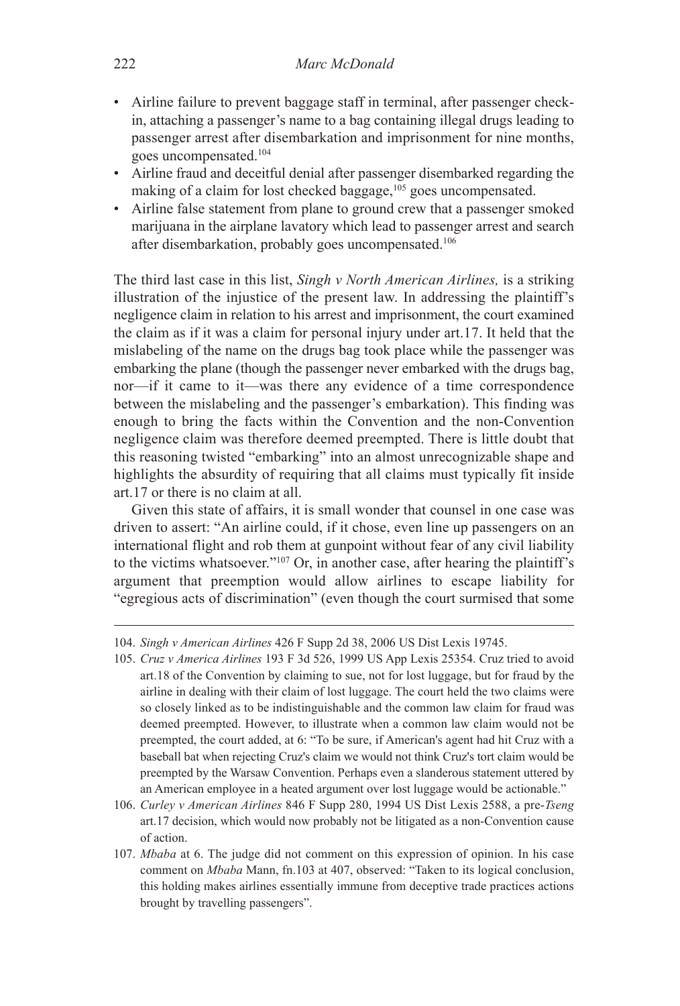- Airline failure to prevent baggage staff in terminal, after passenger checkin, attaching a passenger's name to a bag containing illegal drugs leading to passenger arrest after disembarkation and imprisonment for nine months, goes uncompensated. 104
- Airline fraud and deceitful denial after passenger disembarked regarding the making of a claim for lost checked baggage, <sup>105</sup> goes uncompensated.
- Airline false statement from plane to ground crew that a passenger smoked marijuana in the airplane lavatory which lead to passenger arrest and search after disembarkation, probably goes uncompensated. 106

The third last case in this list, *Singh v North American Airlines,* is a striking illustration of the injustice of the present law. In addressing the plaintiff's negligence claim in relation to his arrest and imprisonment, the court examined the claim as if it was a claim for personal injury under art.17. It held that the mislabeling of the name on the drugs bag took place while the passenger was embarking the plane (though the passenger never embarked with the drugs bag, nor—if it came to it—was there any evidence of a time correspondence between the mislabeling and the passenger's embarkation). This finding was enough to bring the facts within the Convention and the non-Convention negligence claim was therefore deemed preempted. There is little doubt that this reasoning twisted "embarking" into an almost unrecognizable shape and highlights the absurdity of requiring that all claims must typically fit inside art.17 or there is no claim at all.

Given this state of affairs, it is small wonder that counsel in one case was driven to assert: "An airline could, if it chose, even line up passengers on an international flight and rob them at gunpoint without fear of any civil liability to the victims whatsoever."<sup>107</sup> Or, in another case, after hearing the plaintiff's argument that preemption would allow airlines to escape liability for "egregious acts of discrimination" (even though the court surmised that some

- 105. *Cruz v America Airlines* 193 F 3d 526, 1999 US App lexis 25354. Cruz tried to avoid art.18 of the Convention by claiming to sue, not for lost luggage, but for fraud by the airline in dealing with their claim of lost luggage. The court held the two claims were so closely linked as to be indistinguishable and the common law claim for fraud was deemed preempted. however, to illustrate when a common law claim would not be preempted, the court added, at 6: "To be sure, if American's agent had hit Cruz with a baseball bat when rejecting Cruz's claim we would not think Cruz's tort claim would be preempted by the Warsaw Convention. Perhaps even a slanderous statement uttered by an American employee in a heated argument over lost luggage would be actionable."
- 106. *Curley v American Airlines* 846 F Supp 280, 1994 US Dist Lexis 2588, a pre-*Tseng* art.17 decision, which would now probably not be litigated as a non-Convention cause of action.
- 107. *Mbaba* at 6. The judge did not comment on this expression of opinion. In his case comment on *Mbaba* Mann, fn.103 at 407, observed: "Taken to its logical conclusion, this holding makes airlines essentially immune from deceptive trade practices actions brought by travelling passengers".

<sup>104.</sup> *Singh v American Airlines* 426 F Supp 2d 38, 2006 US Dist Lexis 19745.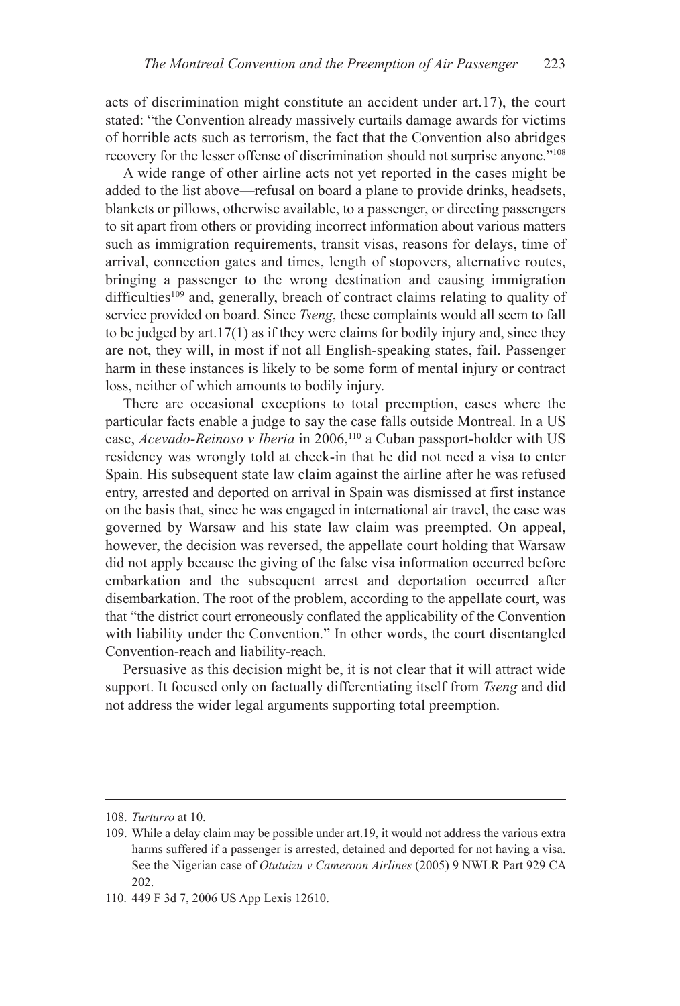acts of discrimination might constitute an accident under art.17), the court stated: "the Convention already massively curtails damage awards for victims of horrible acts such as terrorism, the fact that the Convention also abridges recovery for the lesser offense of discrimination should not surprise anyone."108

A wide range of other airline acts not yet reported in the cases might be added to the list above—refusal on board a plane to provide drinks, headsets, blankets or pillows, otherwise available, to a passenger, or directing passengers to sit apart from others or providing incorrect information about various matters such as immigration requirements, transit visas, reasons for delays, time of arrival, connection gates and times, length of stopovers, alternative routes, bringing a passenger to the wrong destination and causing immigration  $difficulties<sup>109</sup>$  and, generally, breach of contract claims relating to quality of service provided on board. Since *Tseng*, these complaints would all seem to fall to be judged by art.17(1) as if they were claims for bodily injury and, since they are not, they will, in most if not all English-speaking states, fail. Passenger harm in these instances is likely to be some form of mental injury or contract loss, neither of which amounts to bodily injury.

There are occasional exceptions to total preemption, cases where the particular facts enable a judge to say the case falls outside Montreal. In a US case, *Acevado-Reinoso v Iberia* in 2006, <sup>110</sup> a Cuban passport-holder with US residency was wrongly told at check-in that he did not need a visa to enter Spain. His subsequent state law claim against the airline after he was refused entry, arrested and deported on arrival in Spain was dismissed at first instance on the basis that, since he was engaged in international air travel, the case was governed by Warsaw and his state law claim was preempted. on appeal, however, the decision was reversed, the appellate court holding that Warsaw did not apply because the giving of the false visa information occurred before embarkation and the subsequent arrest and deportation occurred after disembarkation. The root of the problem, according to the appellate court, was that "the district court erroneously conflated the applicability of the Convention with liability under the Convention." In other words, the court disentangled Convention-reach and liability-reach.

Persuasive as this decision might be, it is not clear that it will attract wide support. It focused only on factually differentiating itself from *Tseng* and did not address the wider legal arguments supporting total preemption.

<sup>108.</sup> *Turturro* at 10.

<sup>109.</sup> While a delay claim may be possible under art.19, it would not address the various extra harms suffered if a passenger is arrested, detained and deported for not having a visa. See the Nigerian case of *Otutuizu v Cameroon Airlines* (2005) 9 NWlR Part 929 CA 202.

<sup>110.</sup> 449 F 3d 7, 2006 US App lexis 12610.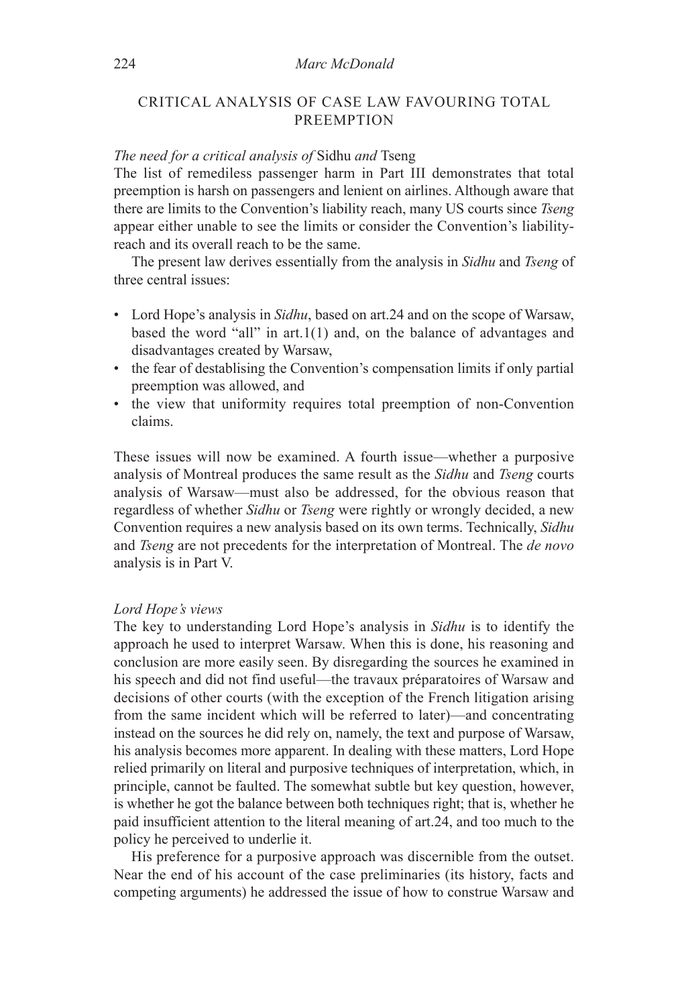## CRITICAl ANAlYSIS oF CASe lAW FAvoURINg ToTAl **PREEMPTION**

## *The need for a critical analysis of* Sidhu *and* Tseng

The list of remediless passenger harm in Part III demonstrates that total preemption is harsh on passengers and lenient on airlines. Although aware that there are limits to the Convention's liability reach, many US courts since *Tseng* appear either unable to see the limits or consider the Convention's liabilityreach and its overall reach to be the same.

The present law derives essentially from the analysis in *Sidhu* and *Tseng* of three central issues:

- lord hope's analysis in *Sidhu*, based on art.24 and on the scope of Warsaw, based the word "all" in art.1(1) and, on the balance of advantages and disadvantages created by Warsaw,
- the fear of destablising the Convention's compensation limits if only partial preemption was allowed, and
- the view that uniformity requires total preemption of non-Convention claims.

These issues will now be examined. A fourth issue—whether a purposive analysis of Montreal produces the same result as the *Sidhu* and *Tseng* courts analysis of Warsaw—must also be addressed, for the obvious reason that regardless of whether *Sidhu* or *Tseng* were rightly or wrongly decided, a new Convention requires a new analysis based on its own terms. Technically, *Sidhu* and *Tseng* are not precedents for the interpretation of Montreal. The *de novo* analysis is in Part v.

## *Lord Hope's views*

The key to understanding lord hope's analysis in *Sidhu* is to identify the approach he used to interpret Warsaw. When this is done, his reasoning and conclusion are more easily seen. By disregarding the sources he examined in his speech and did not find useful—the travaux préparatoires of Warsaw and decisions of other courts (with the exception of the French litigation arising from the same incident which will be referred to later)—and concentrating instead on the sources he did rely on, namely, the text and purpose of Warsaw, his analysis becomes more apparent. In dealing with these matters, Lord Hope relied primarily on literal and purposive techniques of interpretation, which, in principle, cannot be faulted. The somewhat subtle but key question, however, is whether he got the balance between both techniques right; that is, whether he paid insufficient attention to the literal meaning of art.24, and too much to the policy he perceived to underlie it.

his preference for a purposive approach was discernible from the outset. Near the end of his account of the case preliminaries (its history, facts and competing arguments) he addressed the issue of how to construe Warsaw and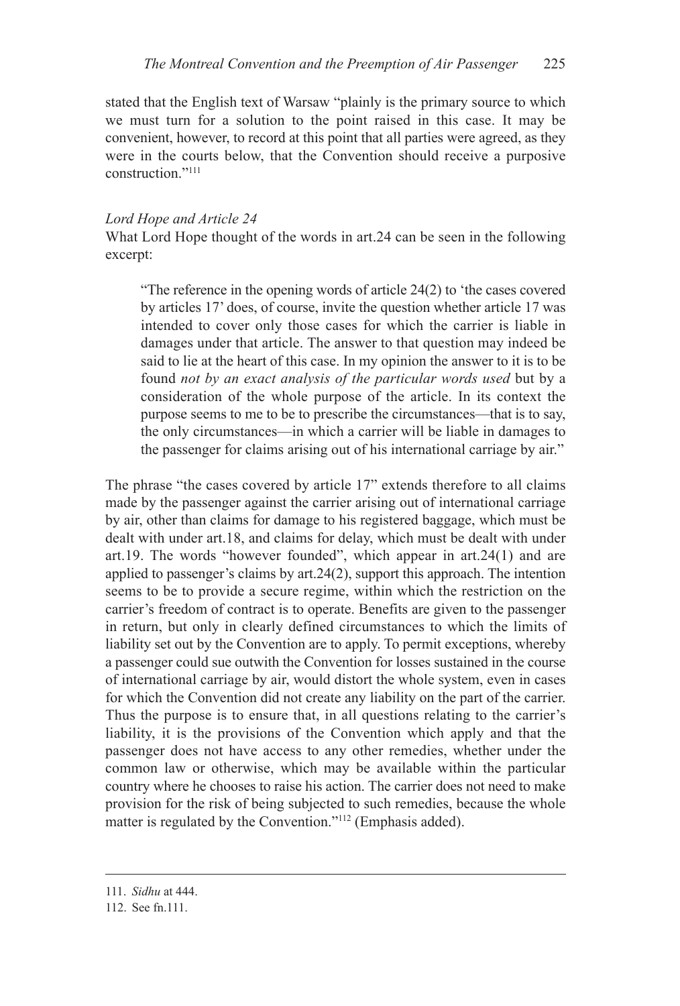stated that the English text of Warsaw "plainly is the primary source to which we must turn for a solution to the point raised in this case. It may be convenient, however, to record at this point that all parties were agreed, as they were in the courts below, that the Convention should receive a purposive construction<sup>"111</sup>

## *Lord Hope and Article 24*

What Lord Hope thought of the words in art. 24 can be seen in the following excerpt:

"The reference in the opening words of article 24(2) to 'the cases covered by articles 17' does, of course, invite the question whether article 17 was intended to cover only those cases for which the carrier is liable in damages under that article. The answer to that question may indeed be said to lie at the heart of this case. In my opinion the answer to it is to be found *not by an exact analysis of the particular words used* but by a consideration of the whole purpose of the article. In its context the purpose seems to me to be to prescribe the circumstances—that is to say, the only circumstances—in which a carrier will be liable in damages to the passenger for claims arising out of his international carriage by air."

The phrase "the cases covered by article 17" extends therefore to all claims made by the passenger against the carrier arising out of international carriage by air, other than claims for damage to his registered baggage, which must be dealt with under art.18, and claims for delay, which must be dealt with under art.19. The words "however founded", which appear in art.24(1) and are applied to passenger's claims by art.24(2), support this approach. The intention seems to be to provide a secure regime, within which the restriction on the carrier's freedom of contract is to operate. Benefits are given to the passenger in return, but only in clearly defined circumstances to which the limits of liability set out by the Convention are to apply. To permit exceptions, whereby a passenger could sue outwith the Convention for losses sustained in the course of international carriage by air, would distort the whole system, even in cases for which the Convention did not create any liability on the part of the carrier. Thus the purpose is to ensure that, in all questions relating to the carrier's liability, it is the provisions of the Convention which apply and that the passenger does not have access to any other remedies, whether under the common law or otherwise, which may be available within the particular country where he chooses to raise his action. The carrier does not need to make provision for the risk of being subjected to such remedies, because the whole matter is regulated by the Convention."<sup>112</sup> (Emphasis added).

<sup>111.</sup> *Sidhu* at 444.

<sup>112.</sup> See fn.111.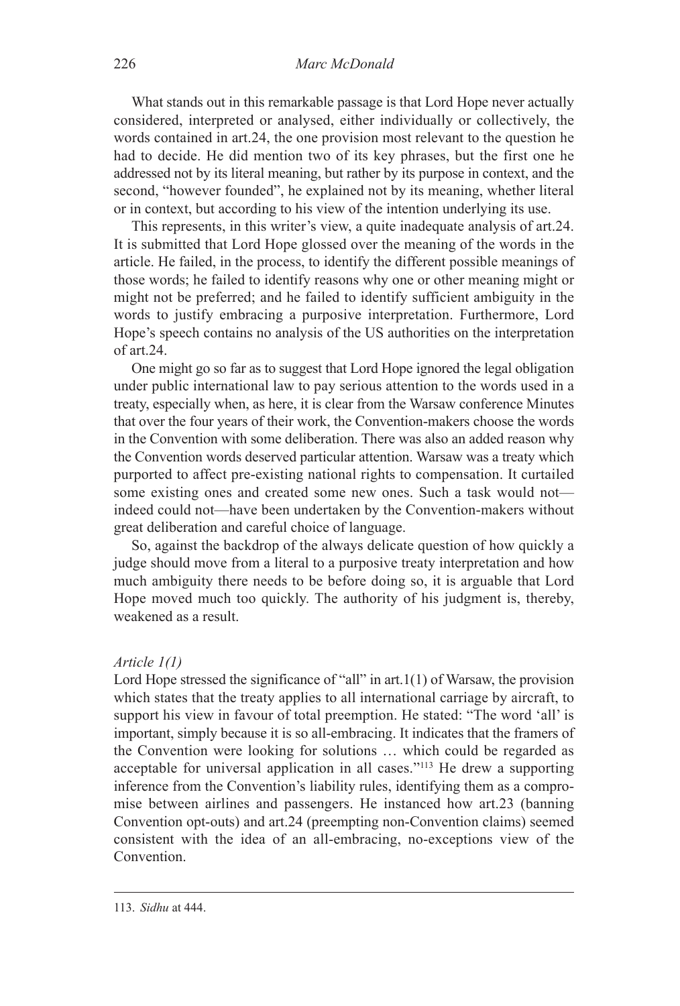What stands out in this remarkable passage is that Lord Hope never actually considered, interpreted or analysed, either individually or collectively, the words contained in art.24, the one provision most relevant to the question he had to decide. he did mention two of its key phrases, but the first one he addressed not by its literal meaning, but rather by its purpose in context, and the second, "however founded", he explained not by its meaning, whether literal or in context, but according to his view of the intention underlying its use.

This represents, in this writer's view, a quite inadequate analysis of art.24. It is submitted that lord hope glossed over the meaning of the words in the article. he failed, in the process, to identify the different possible meanings of those words; he failed to identify reasons why one or other meaning might or might not be preferred; and he failed to identify sufficient ambiguity in the words to justify embracing a purposive interpretation. Furthermore, Lord hope's speech contains no analysis of the US authorities on the interpretation of art.24.

one might go so far as to suggest that lord hope ignored the legal obligation under public international law to pay serious attention to the words used in a treaty, especially when, as here, it is clear from the Warsaw conference Minutes that over the four years of their work, the Convention-makers choose the words in the Convention with some deliberation. There was also an added reason why the Convention words deserved particular attention. Warsaw was a treaty which purported to affect pre-existing national rights to compensation. It curtailed some existing ones and created some new ones. Such a task would not indeed could not—have been undertaken by the Convention-makers without great deliberation and careful choice of language.

So, against the backdrop of the always delicate question of how quickly a judge should move from a literal to a purposive treaty interpretation and how much ambiguity there needs to be before doing so, it is arguable that lord hope moved much too quickly. The authority of his judgment is, thereby, weakened as a result.

## *Article 1(1)*

Lord Hope stressed the significance of "all" in art. $1(1)$  of Warsaw, the provision which states that the treaty applies to all international carriage by aircraft, to support his view in favour of total preemption. He stated: "The word 'all' is important, simply because it is so all-embracing. It indicates that the framers of the Convention were looking for solutions … which could be regarded as acceptable for universal application in all cases."113 he drew a supporting inference from the Convention's liability rules, identifying them as a compromise between airlines and passengers. he instanced how art.23 (banning Convention opt-outs) and art.24 (preempting non-Convention claims) seemed consistent with the idea of an all-embracing, no-exceptions view of the Convention.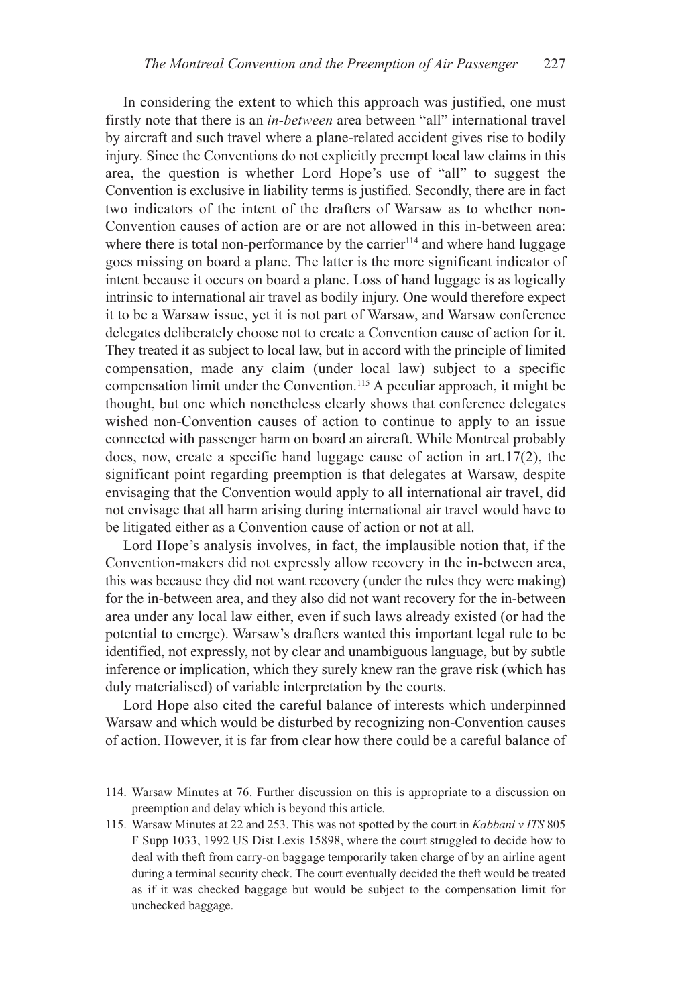In considering the extent to which this approach was justified, one must firstly note that there is an *in-between* area between "all" international travel by aircraft and such travel where a plane-related accident gives rise to bodily injury. Since the Conventions do not explicitly preempt local law claims in this area, the question is whether lord hope's use of "all" to suggest the Convention is exclusive in liability terms is justified. Secondly, there are in fact two indicators of the intent of the drafters of Warsaw as to whether non-Convention causes of action are or are not allowed in this in-between area: where there is total non-performance by the carrier $114$  and where hand luggage goes missing on board a plane. The latter is the more significant indicator of intent because it occurs on board a plane. Loss of hand luggage is as logically intrinsic to international air travel as bodily injury. One would therefore expect it to be a Warsaw issue, yet it is not part of Warsaw, and Warsaw conference delegates deliberately choose not to create a Convention cause of action for it. They treated it as subject to local law, but in accord with the principle of limited compensation, made any claim (under local law) subject to a specific compensation limit under the Convention. <sup>115</sup> A peculiar approach, it might be thought, but one which nonetheless clearly shows that conference delegates wished non-Convention causes of action to continue to apply to an issue connected with passenger harm on board an aircraft. While Montreal probably does, now, create a specific hand luggage cause of action in art.17(2), the significant point regarding preemption is that delegates at Warsaw, despite envisaging that the Convention would apply to all international air travel, did not envisage that all harm arising during international air travel would have to be litigated either as a Convention cause of action or not at all.

Lord Hope's analysis involves, in fact, the implausible notion that, if the Convention-makers did not expressly allow recovery in the in-between area, this was because they did not want recovery (under the rules they were making) for the in-between area, and they also did not want recovery for the in-between area under any local law either, even if such laws already existed (or had the potential to emerge). Warsaw's drafters wanted this important legal rule to be identified, not expressly, not by clear and unambiguous language, but by subtle inference or implication, which they surely knew ran the grave risk (which has duly materialised) of variable interpretation by the courts.

Lord Hope also cited the careful balance of interests which underpinned Warsaw and which would be disturbed by recognizing non-Convention causes of action. however, it is far from clear how there could be a careful balance of

<sup>114.</sup> Warsaw Minutes at 76. Further discussion on this is appropriate to a discussion on preemption and delay which is beyond this article.

<sup>115.</sup> Warsaw Minutes at 22 and 253. This was not spotted by the court in *Kabbani v ITS* 805 F Supp 1033, 1992 US Dist Lexis 15898, where the court struggled to decide how to deal with theft from carry-on baggage temporarily taken charge of by an airline agent during a terminal security check. The court eventually decided the theft would be treated as if it was checked baggage but would be subject to the compensation limit for unchecked baggage.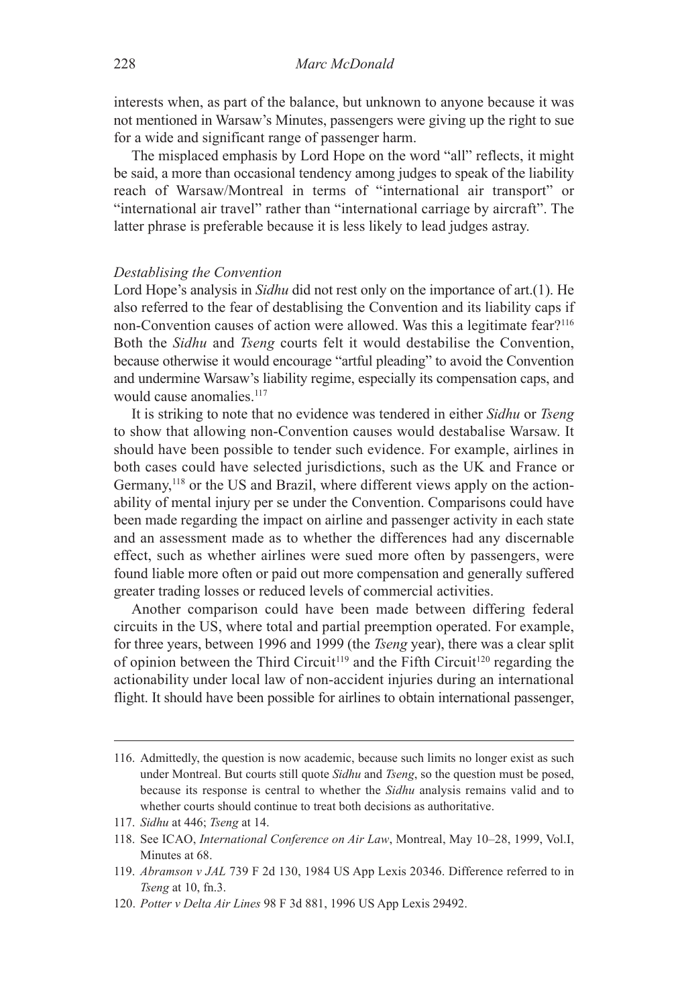interests when, as part of the balance, but unknown to anyone because it was not mentioned in Warsaw's Minutes, passengers were giving up the right to sue for a wide and significant range of passenger harm.

The misplaced emphasis by lord hope on the word "all" reflects, it might be said, a more than occasional tendency among judges to speak of the liability reach of Warsaw/Montreal in terms of "international air transport" or "international air travel" rather than "international carriage by aircraft". The latter phrase is preferable because it is less likely to lead judges astray.

## *Destablising the Convention*

Lord Hope's analysis in *Sidhu* did not rest only on the importance of art.(1). He also referred to the fear of destablising the Convention and its liability caps if non-Convention causes of action were allowed. Was this a legitimate fear?116 Both the *Sidhu* and *Tseng* courts felt it would destabilise the Convention, because otherwise it would encourage "artful pleading" to avoid the Convention and undermine Warsaw's liability regime, especially its compensation caps, and would cause anomalies. 117

It is striking to note that no evidence was tendered in either *Sidhu* or *Tseng* to show that allowing non-Convention causes would destabalise Warsaw. It should have been possible to tender such evidence. For example, airlines in both cases could have selected jurisdictions, such as the UK and France or Germany,<sup>118</sup> or the US and Brazil, where different views apply on the actionability of mental injury per se under the Convention. Comparisons could have been made regarding the impact on airline and passenger activity in each state and an assessment made as to whether the differences had any discernable effect, such as whether airlines were sued more often by passengers, were found liable more often or paid out more compensation and generally suffered greater trading losses or reduced levels of commercial activities.

Another comparison could have been made between differing federal circuits in the US, where total and partial preemption operated. For example, for three years, between 1996 and 1999 (the *Tseng* year), there was a clear split of opinion between the Third Circuit<sup>119</sup> and the Fifth Circuit<sup>120</sup> regarding the actionability under local law of non-accident injuries during an international flight. It should have been possible for airlines to obtain international passenger,

<sup>116.</sup> Admittedly, the question is now academic, because such limits no longer exist as such under Montreal. But courts still quote *Sidhu* and *Tseng*, so the question must be posed, because its response is central to whether the *Sidhu* analysis remains valid and to whether courts should continue to treat both decisions as authoritative.

<sup>117.</sup> *Sidhu* at 446; *Tseng* at 14.

<sup>118.</sup> See ICAo, *International Conference on Air Law*, Montreal, May 10–28, 1999, vol.I, Minutes at 68.

<sup>119.</sup> *Abramson v JAL* 739 F 2d 130, 1984 US App Lexis 20346. Difference referred to in *Tseng* at 10, fn.3.

<sup>120.</sup> *Potter v Delta Air Lines* 98 F 3d 881, 1996 US App lexis 29492.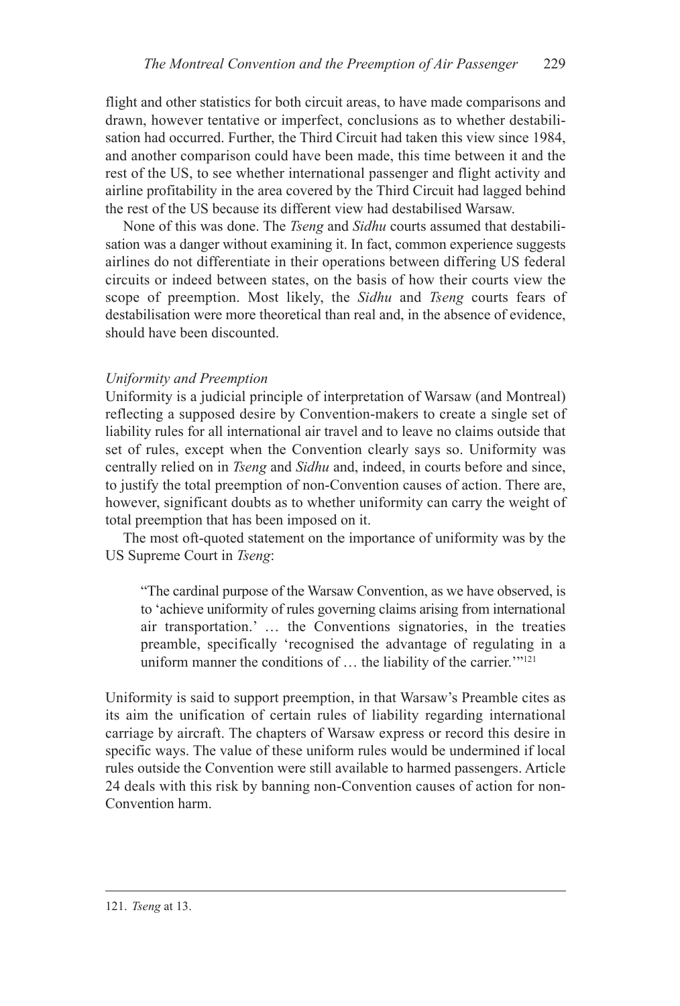flight and other statistics for both circuit areas, to have made comparisons and drawn, however tentative or imperfect, conclusions as to whether destabilisation had occurred. Further, the Third Circuit had taken this view since 1984, and another comparison could have been made, this time between it and the rest of the US, to see whether international passenger and flight activity and airline profitability in the area covered by the Third Circuit had lagged behind the rest of the US because its different view had destabilised Warsaw.

None of this was done. The *Tseng* and *Sidhu* courts assumed that destabilisation was a danger without examining it. In fact, common experience suggests airlines do not differentiate in their operations between differing US federal circuits or indeed between states, on the basis of how their courts view the scope of preemption. Most likely, the *Sidhu* and *Tseng* courts fears of destabilisation were more theoretical than real and, in the absence of evidence, should have been discounted.

## *Uniformity and Preemption*

Uniformity is a judicial principle of interpretation of Warsaw (and Montreal) reflecting a supposed desire by Convention-makers to create a single set of liability rules for all international air travel and to leave no claims outside that set of rules, except when the Convention clearly says so. Uniformity was centrally relied on in *Tseng* and *Sidhu* and, indeed, in courts before and since, to justify the total preemption of non-Convention causes of action. There are, however, significant doubts as to whether uniformity can carry the weight of total preemption that has been imposed on it.

The most oft-quoted statement on the importance of uniformity was by the US Supreme Court in *Tseng*:

"The cardinal purpose of the Warsaw Convention, as we have observed, is to 'achieve uniformity of rules governing claims arising from international air transportation.' … the Conventions signatories, in the treaties preamble, specifically 'recognised the advantage of regulating in a uniform manner the conditions of ... the liability of the carrier.""<sup>121</sup>

Uniformity is said to support preemption, in that Warsaw's Preamble cites as its aim the unification of certain rules of liability regarding international carriage by aircraft. The chapters of Warsaw express or record this desire in specific ways. The value of these uniform rules would be undermined if local rules outside the Convention were still available to harmed passengers. Article 24 deals with this risk by banning non-Convention causes of action for non-Convention harm.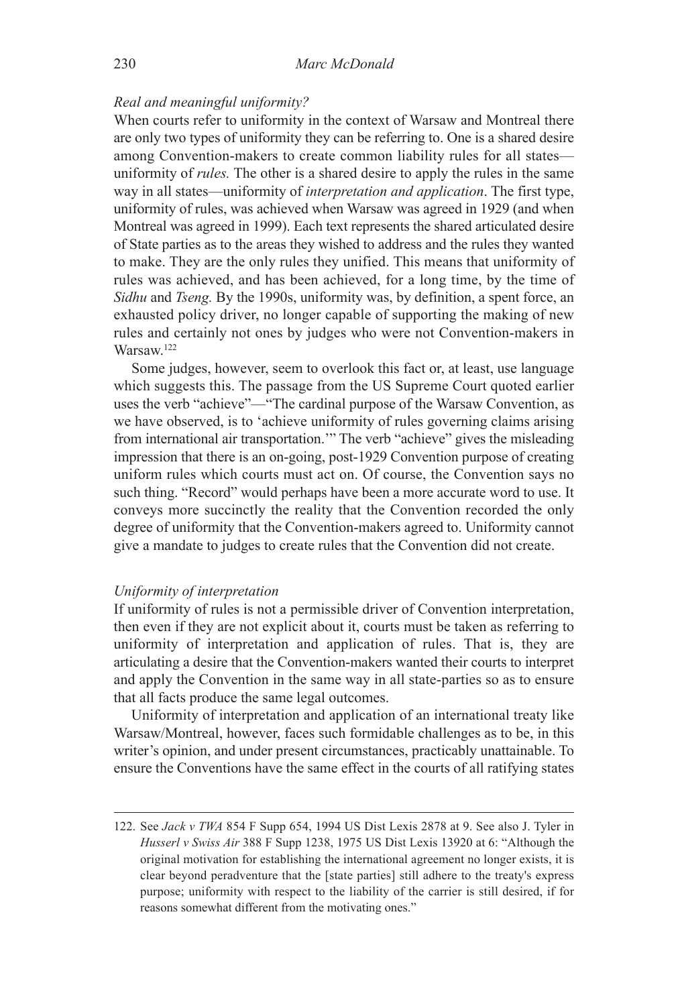## *Real and meaningful uniformity?*

When courts refer to uniformity in the context of Warsaw and Montreal there are only two types of uniformity they can be referring to. One is a shared desire among Convention-makers to create common liability rules for all states uniformity of *rules.* The other is a shared desire to apply the rules in the same way in all states—uniformity of *interpretation and application*. The first type, uniformity of rules, was achieved when Warsaw was agreed in 1929 (and when Montreal was agreed in 1999). Each text represents the shared articulated desire of State parties as to the areas they wished to address and the rules they wanted to make. They are the only rules they unified. This means that uniformity of rules was achieved, and has been achieved, for a long time, by the time of *Sidhu* and *Tseng.* By the 1990s, uniformity was, by definition, a spent force, an exhausted policy driver, no longer capable of supporting the making of new rules and certainly not ones by judges who were not Convention-makers in Warsaw.<sup>122</sup>

Some judges, however, seem to overlook this fact or, at least, use language which suggests this. The passage from the US Supreme Court quoted earlier uses the verb "achieve"—"The cardinal purpose of the Warsaw Convention, as we have observed, is to 'achieve uniformity of rules governing claims arising from international air transportation.'" The verb "achieve" gives the misleading impression that there is an on-going, post-1929 Convention purpose of creating uniform rules which courts must act on. of course, the Convention says no such thing. "Record" would perhaps have been a more accurate word to use. It conveys more succinctly the reality that the Convention recorded the only degree of uniformity that the Convention-makers agreed to. Uniformity cannot give a mandate to judges to create rules that the Convention did not create.

## *Uniformity of interpretation*

If uniformity of rules is not a permissible driver of Convention interpretation, then even if they are not explicit about it, courts must be taken as referring to uniformity of interpretation and application of rules. That is, they are articulating a desire that the Convention-makers wanted their courts to interpret and apply the Convention in the same way in all state-parties so as to ensure that all facts produce the same legal outcomes.

Uniformity of interpretation and application of an international treaty like Warsaw/Montreal, however, faces such formidable challenges as to be, in this writer's opinion, and under present circumstances, practicably unattainable. To ensure the Conventions have the same effect in the courts of all ratifying states

<sup>122.</sup> See *Jack v TWA* 854 F Supp 654, 1994 US Dist Lexis 2878 at 9. See also J. Tyler in *Husserl v Swiss Air* 388 F Supp 1238, 1975 US Dist Lexis 13920 at 6: "Although the original motivation for establishing the international agreement no longer exists, it is clear beyond peradventure that the [state parties] still adhere to the treaty's express purpose; uniformity with respect to the liability of the carrier is still desired, if for reasons somewhat different from the motivating ones."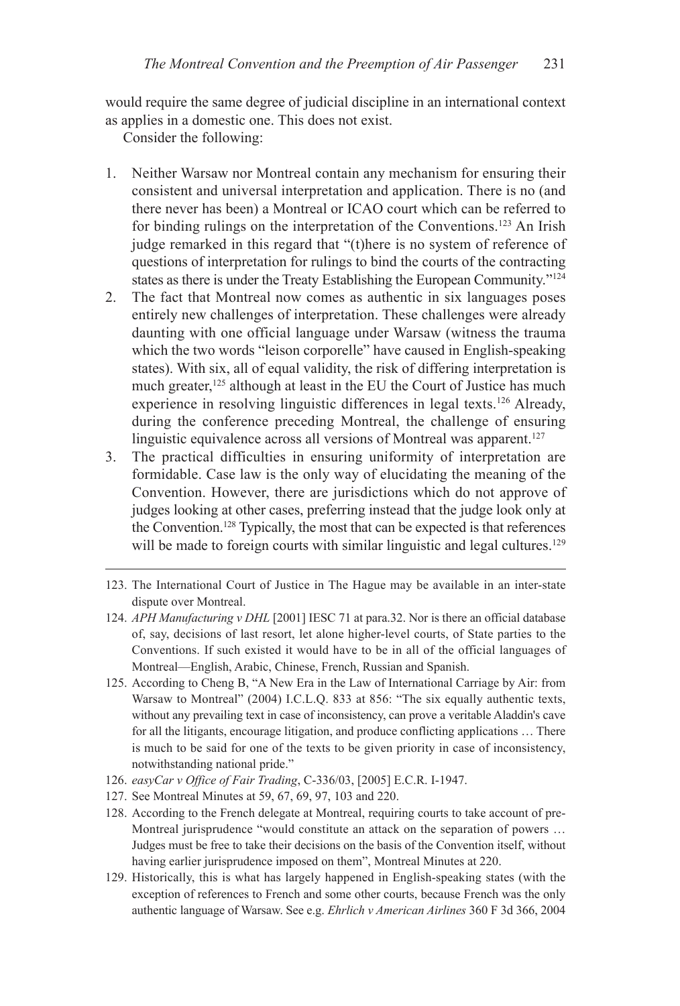would require the same degree of judicial discipline in an international context as applies in a domestic one. This does not exist.

Consider the following:

- 1. Neither Warsaw nor Montreal contain any mechanism for ensuring their consistent and universal interpretation and application. There is no (and there never has been) a Montreal or ICAo court which can be referred to for binding rulings on the interpretation of the Conventions.<sup>123</sup> An Irish judge remarked in this regard that "(t)here is no system of reference of questions of interpretation for rulings to bind the courts of the contracting states as there is under the Treaty Establishing the European Community."<sup>124</sup>
- 2. The fact that Montreal now comes as authentic in six languages poses entirely new challenges of interpretation. These challenges were already daunting with one official language under Warsaw (witness the trauma which the two words "leison corporelle" have caused in English-speaking states). With six, all of equal validity, the risk of differing interpretation is much greater,<sup>125</sup> although at least in the EU the Court of Justice has much experience in resolving linguistic differences in legal texts. <sup>126</sup> Already, during the conference preceding Montreal, the challenge of ensuring linguistic equivalence across all versions of Montreal was apparent. 127
- 3. The practical difficulties in ensuring uniformity of interpretation are formidable. Case law is the only way of elucidating the meaning of the Convention. however, there are jurisdictions which do not approve of judges looking at other cases, preferring instead that the judge look only at the Convention. <sup>128</sup> Typically, the most that can be expected is that references will be made to foreign courts with similar linguistic and legal cultures.<sup>129</sup>

- 124. *APH Manufacturing v DHL* [2001] IeSC 71 at para.32. Nor is there an official database of, say, decisions of last resort, let alone higher-level courts, of State parties to the Conventions. If such existed it would have to be in all of the official languages of Montreal—English, Arabic, Chinese, French, Russian and Spanish.
- 125. According to Cheng B, "A New Era in the Law of International Carriage by Air: from Warsaw to Montreal" (2004) I.C.L.Q. 833 at 856: "The six equally authentic texts, without any prevailing text in case of inconsistency, can prove a veritable Aladdin's cave for all the litigants, encourage litigation, and produce conflicting applications … There is much to be said for one of the texts to be given priority in case of inconsistency, notwithstanding national pride."
- 126. *easyCar v Office of Fair Trading*, C-336/03, [2005] e.C.R. I-1947.
- 127. See Montreal Minutes at 59, 67, 69, 97, 103 and 220.
- 128. According to the French delegate at Montreal, requiring courts to take account of pre-Montreal jurisprudence "would constitute an attack on the separation of powers … Judges must be free to take their decisions on the basis of the Convention itself, without having earlier jurisprudence imposed on them", Montreal Minutes at 220.
- 129. Historically, this is what has largely happened in English-speaking states (with the exception of references to French and some other courts, because French was the only authentic language of Warsaw. See e.g. *Ehrlich v American Airlines* 360 F 3d 366, 2004

<sup>123.</sup> The International Court of Justice in The hague may be available in an inter-state dispute over Montreal.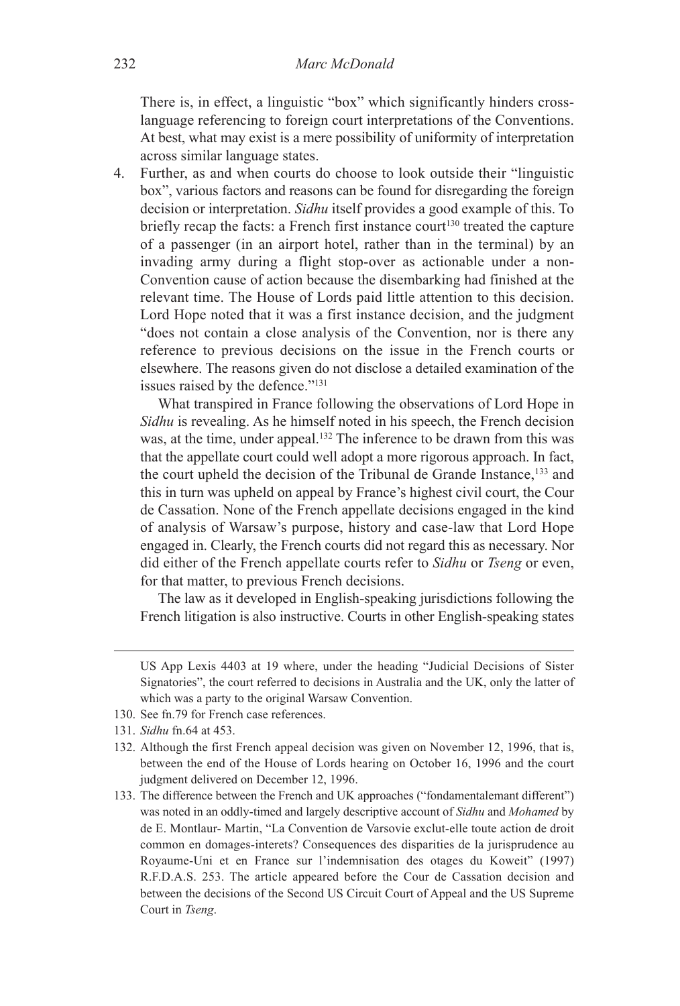There is, in effect, a linguistic "box" which significantly hinders crosslanguage referencing to foreign court interpretations of the Conventions. At best, what may exist is a mere possibility of uniformity of interpretation across similar language states.

4. Further, as and when courts do choose to look outside their "linguistic box", various factors and reasons can be found for disregarding the foreign decision or interpretation. *Sidhu* itself provides a good example of this. To briefly recap the facts: a French first instance court<sup>130</sup> treated the capture of a passenger (in an airport hotel, rather than in the terminal) by an invading army during a flight stop-over as actionable under a non-Convention cause of action because the disembarking had finished at the relevant time. The House of Lords paid little attention to this decision. Lord Hope noted that it was a first instance decision, and the judgment "does not contain a close analysis of the Convention, nor is there any reference to previous decisions on the issue in the French courts or elsewhere. The reasons given do not disclose a detailed examination of the issues raised by the defence."131

What transpired in France following the observations of Lord Hope in *Sidhu* is revealing. As he himself noted in his speech, the French decision was, at the time, under appeal.<sup>132</sup> The inference to be drawn from this was that the appellate court could well adopt a more rigorous approach. In fact, the court upheld the decision of the Tribunal de Grande Instance,<sup>133</sup> and this in turn was upheld on appeal by France's highest civil court, the Cour de Cassation. None of the French appellate decisions engaged in the kind of analysis of Warsaw's purpose, history and case-law that lord hope engaged in. Clearly, the French courts did not regard this as necessary. Nor did either of the French appellate courts refer to *Sidhu* or *Tseng* or even, for that matter, to previous French decisions.

The law as it developed in English-speaking jurisdictions following the French litigation is also instructive. Courts in other English-speaking states

- 130. See fn.79 for French case references.
- 131. *Sidhu* fn.64 at 453.
- 132. Although the first French appeal decision was given on November 12, 1996, that is, between the end of the house of lords hearing on october 16, 1996 and the court judgment delivered on December 12, 1996.
- 133. The difference between the French and UK approaches ("fondamentalemant different") was noted in an oddly-timed and largely descriptive account of *Sidhu* and *Mohamed* by de E. Montlaur- Martin, "La Convention de Varsovie exclut-elle toute action de droit common en domages-interets? Consequences des disparities de la jurisprudence au Royaume-Uni et en France sur l'indemnisation des otages du Koweit" (1997) R.F.D.A.S. 253. The article appeared before the Cour de Cassation decision and between the decisions of the Second US Circuit Court of Appeal and the US Supreme Court in *Tseng*.

US App Lexis 4403 at 19 where, under the heading "Judicial Decisions of Sister Signatories", the court referred to decisions in Australia and the UK, only the latter of which was a party to the original Warsaw Convention.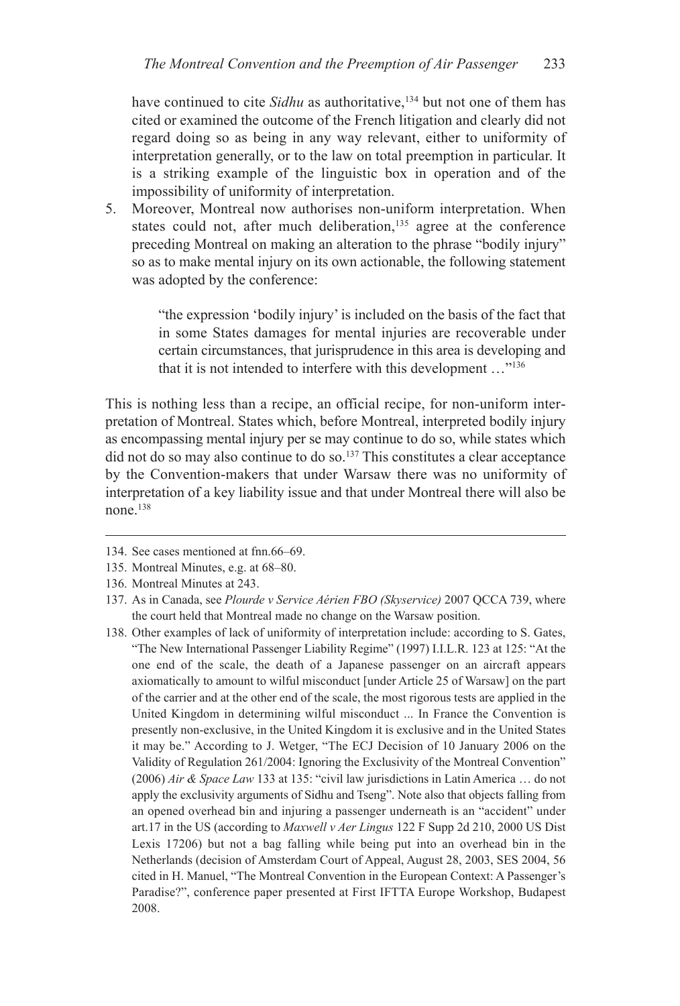have continued to cite *Sidhu* as authoritative, <sup>134</sup> but not one of them has cited or examined the outcome of the French litigation and clearly did not regard doing so as being in any way relevant, either to uniformity of interpretation generally, or to the law on total preemption in particular. It is a striking example of the linguistic box in operation and of the impossibility of uniformity of interpretation.

5. Moreover, Montreal now authorises non-uniform interpretation. When states could not, after much deliberation,<sup>135</sup> agree at the conference preceding Montreal on making an alteration to the phrase "bodily injury" so as to make mental injury on its own actionable, the following statement was adopted by the conference:

> "the expression 'bodily injury'is included on the basis of the fact that in some States damages for mental injuries are recoverable under certain circumstances, that jurisprudence in this area is developing and that it is not intended to interfere with this development …"136

This is nothing less than a recipe, an official recipe, for non-uniform interpretation of Montreal. States which, before Montreal, interpreted bodily injury as encompassing mental injury per se may continue to do so, while states which did not do so may also continue to do so. <sup>137</sup> This constitutes a clear acceptance by the Convention-makers that under Warsaw there was no uniformity of interpretation of a key liability issue and that under Montreal there will also be none. 138

138. Other examples of lack of uniformity of interpretation include: according to S. Gates, "The New International Passenger liability Regime" (1997) I.I.l.R. 123 at 125: "At the one end of the scale, the death of a Japanese passenger on an aircraft appears axiomatically to amount to wilful misconduct [under Article 25 of Warsaw] on the part of the carrier and at the other end of the scale, the most rigorous tests are applied in the United Kingdom in determining wilful misconduct ... In France the Convention is presently non-exclusive, in the United Kingdom it is exclusive and in the United States it may be." According to J. Wetger, "The ECJ Decision of 10 January 2006 on the Validity of Regulation 261/2004: Ignoring the Exclusivity of the Montreal Convention" (2006) *Air & Space Law* 133 at 135: "civil law jurisdictions in latin America … do not apply the exclusivity arguments of Sidhu and Tseng". Note also that objects falling from an opened overhead bin and injuring a passenger underneath is an "accident" under art.17 in the US (according to *Maxwell v Aer Lingus* 122 F Supp 2d 210, 2000 US Dist Lexis 17206) but not a bag falling while being put into an overhead bin in the Netherlands (decision of Amsterdam Court of Appeal, August 28, 2003, SeS 2004, 56 cited in H. Manuel, "The Montreal Convention in the European Context: A Passenger's Paradise?", conference paper presented at First IFTTA Europe Workshop, Budapest 2008.

<sup>134.</sup> See cases mentioned at fnn.66–69.

<sup>135.</sup> Montreal Minutes, e.g. at 68–80.

<sup>136.</sup> Montreal Minutes at 243.

<sup>137.</sup> As in Canada, see *Plourde v Service Aérien FBO (Skyservice)* 2007 QCCA 739, where the court held that Montreal made no change on the Warsaw position.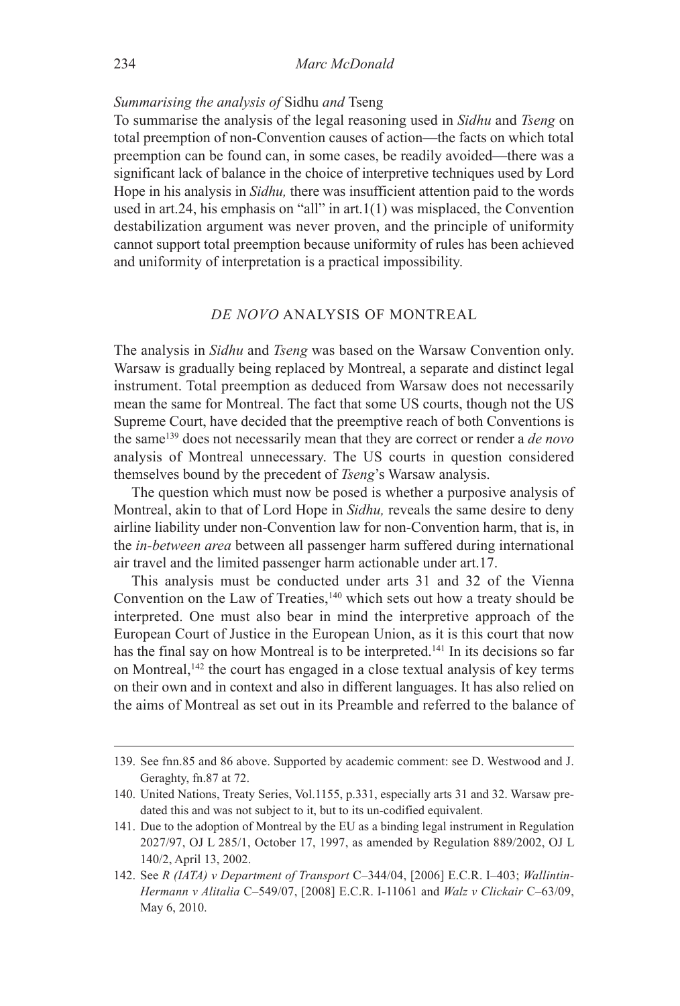## *Summarising the analysis of* Sidhu *and* Tseng

To summarise the analysis of the legal reasoning used in *Sidhu* and *Tseng* on total preemption of non-Convention causes of action—the facts on which total preemption can be found can, in some cases, be readily avoided—there was a significant lack of balance in the choice of interpretive techniques used by lord hope in his analysis in *Sidhu,* there was insufficient attention paid to the words used in art.24, his emphasis on "all" in art.1(1) was misplaced, the Convention destabilization argument was never proven, and the principle of uniformity cannot support total preemption because uniformity of rules has been achieved and uniformity of interpretation is a practical impossibility.

## *DE NOVO* ANAlYSIS oF MoNTReAl

The analysis in *Sidhu* and *Tseng* was based on the Warsaw Convention only. Warsaw is gradually being replaced by Montreal, a separate and distinct legal instrument. Total preemption as deduced from Warsaw does not necessarily mean the same for Montreal. The fact that some US courts, though not the US Supreme Court, have decided that the preemptive reach of both Conventions is the same139 does not necessarily mean that they are correct or render a *de novo* analysis of Montreal unnecessary. The US courts in question considered themselves bound by the precedent of *Tseng*'s Warsaw analysis.

The question which must now be posed is whether a purposive analysis of Montreal, akin to that of Lord Hope in *Sidhu*, reveals the same desire to deny airline liability under non-Convention law for non-Convention harm, that is, in the *in-between area* between all passenger harm suffered during international air travel and the limited passenger harm actionable under art.17.

This analysis must be conducted under arts 31 and 32 of the vienna Convention on the Law of Treaties,<sup>140</sup> which sets out how a treaty should be interpreted. one must also bear in mind the interpretive approach of the European Court of Justice in the European Union, as it is this court that now has the final say on how Montreal is to be interpreted.<sup>141</sup> In its decisions so far on Montreal, <sup>142</sup> the court has engaged in a close textual analysis of key terms on their own and in context and also in different languages. It has also relied on the aims of Montreal as set out in its Preamble and referred to the balance of

<sup>139.</sup> See finn.85 and 86 above. Supported by academic comment: see D. Westwood and J. Geraghty, fn.87 at 72.

<sup>140.</sup> United Nations, Treaty Series, vol.1155, p.331, especially arts 31 and 32. Warsaw predated this and was not subject to it, but to its un-codified equivalent.

<sup>141.</sup> due to the adoption of Montreal by the eU as a binding legal instrument in Regulation 2027/97, OJ L 285/1, October 17, 1997, as amended by Regulation 889/2002, OJ L 140/2, April 13, 2002.

<sup>142.</sup> See *R (IATA) v Department of Transport* C–344/04, [2006] e.C.R. I–403; *Wallintin-Hermann v Alitalia* C–549/07, [2008] e.C.R. I-11061 and *Walz v Clickair* C–63/09, May 6, 2010.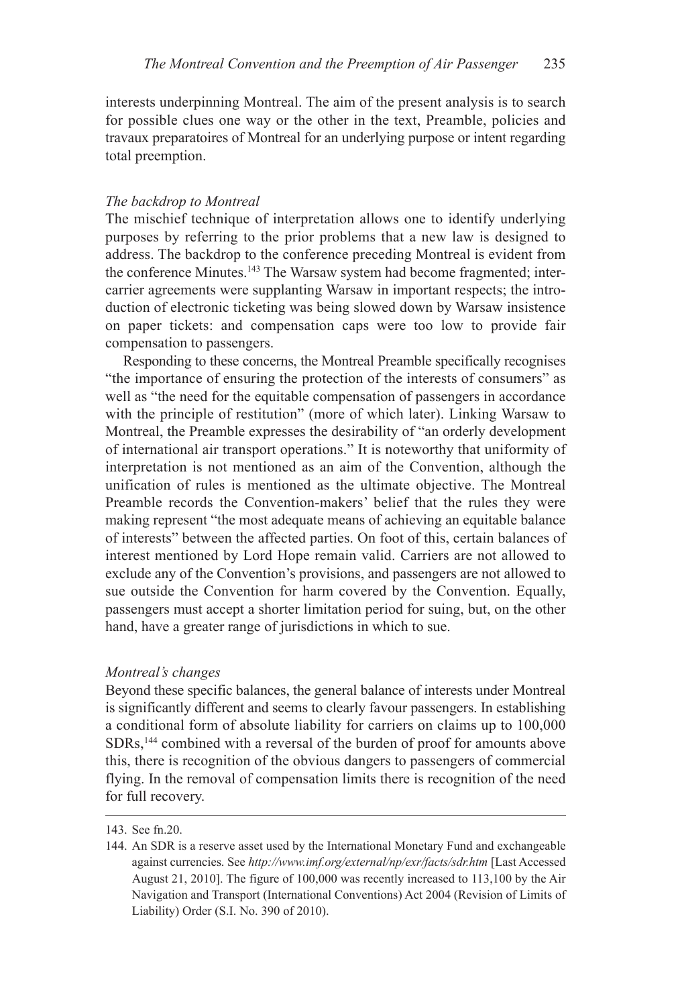interests underpinning Montreal. The aim of the present analysis is to search for possible clues one way or the other in the text, Preamble, policies and travaux preparatoires of Montreal for an underlying purpose or intent regarding total preemption.

#### *The backdrop to Montreal*

The mischief technique of interpretation allows one to identify underlying purposes by referring to the prior problems that a new law is designed to address. The backdrop to the conference preceding Montreal is evident from the conference Minutes. <sup>143</sup> The Warsaw system had become fragmented; intercarrier agreements were supplanting Warsaw in important respects; the introduction of electronic ticketing was being slowed down by Warsaw insistence on paper tickets: and compensation caps were too low to provide fair compensation to passengers.

Responding to these concerns, the Montreal Preamble specifically recognises "the importance of ensuring the protection of the interests of consumers" as well as "the need for the equitable compensation of passengers in accordance with the principle of restitution" (more of which later). Linking Warsaw to Montreal, the Preamble expresses the desirability of "an orderly development of international air transport operations." It is noteworthy that uniformity of interpretation is not mentioned as an aim of the Convention, although the unification of rules is mentioned as the ultimate objective. The Montreal Preamble records the Convention-makers' belief that the rules they were making represent "the most adequate means of achieving an equitable balance of interests" between the affected parties. on foot of this, certain balances of interest mentioned by lord hope remain valid. Carriers are not allowed to exclude any of the Convention's provisions, and passengers are not allowed to sue outside the Convention for harm covered by the Convention. Equally, passengers must accept a shorter limitation period for suing, but, on the other hand, have a greater range of jurisdictions in which to sue.

## *Montreal's changes*

Beyond these specific balances, the general balance of interests under Montreal is significantly different and seems to clearly favour passengers. In establishing a conditional form of absolute liability for carriers on claims up to 100,000 SDRs,<sup>144</sup> combined with a reversal of the burden of proof for amounts above this, there is recognition of the obvious dangers to passengers of commercial flying. In the removal of compensation limits there is recognition of the need for full recovery.

<sup>143.</sup> See fn.20.

<sup>144.</sup> An SDR is a reserve asset used by the International Monetary Fund and exchangeable against currencies. See *http://www.imf.org/external/np/exr/facts/sdr.htm* [last Accessed August 21, 2010]. The figure of 100,000 was recently increased to 113,100 by the Air Navigation and Transport (International Conventions) Act 2004 (Revision of limits of Liability) Order (S.I. No. 390 of 2010).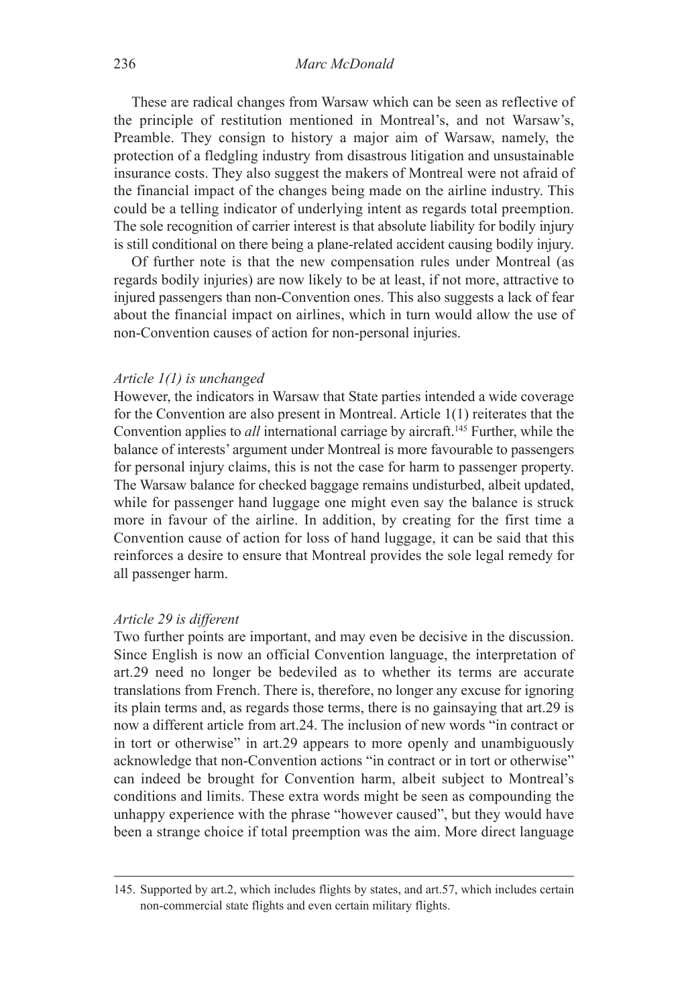These are radical changes from Warsaw which can be seen as reflective of the principle of restitution mentioned in Montreal's, and not Warsaw's, Preamble. They consign to history a major aim of Warsaw, namely, the protection of a fledgling industry from disastrous litigation and unsustainable insurance costs. They also suggest the makers of Montreal were not afraid of the financial impact of the changes being made on the airline industry. This could be a telling indicator of underlying intent as regards total preemption. The sole recognition of carrier interest is that absolute liability for bodily injury is still conditional on there being a plane-related accident causing bodily injury.

of further note is that the new compensation rules under Montreal (as regards bodily injuries) are now likely to be at least, if not more, attractive to injured passengers than non-Convention ones. This also suggests a lack of fear about the financial impact on airlines, which in turn would allow the use of non-Convention causes of action for non-personal injuries.

#### *Article 1(1) is unchanged*

however, the indicators in Warsaw that State parties intended a wide coverage for the Convention are also present in Montreal. Article 1(1) reiterates that the Convention applies to *all* international carriage by aircraft. <sup>145</sup> Further, while the balance of interests' argument under Montreal is more favourable to passengers for personal injury claims, this is not the case for harm to passenger property. The Warsaw balance for checked baggage remains undisturbed, albeit updated, while for passenger hand luggage one might even say the balance is struck more in favour of the airline. In addition, by creating for the first time a Convention cause of action for loss of hand luggage, it can be said that this reinforces a desire to ensure that Montreal provides the sole legal remedy for all passenger harm.

## *Article 29 is different*

Two further points are important, and may even be decisive in the discussion. Since English is now an official Convention language, the interpretation of art.29 need no longer be bedeviled as to whether its terms are accurate translations from French. There is, therefore, no longer any excuse for ignoring its plain terms and, as regards those terms, there is no gainsaying that art.29 is now a different article from art.24. The inclusion of new words "in contract or in tort or otherwise" in art.29 appears to more openly and unambiguously acknowledge that non-Convention actions "in contract or in tort or otherwise" can indeed be brought for Convention harm, albeit subject to Montreal's conditions and limits. These extra words might be seen as compounding the unhappy experience with the phrase "however caused", but they would have been a strange choice if total preemption was the aim. More direct language

<sup>145.</sup> Supported by art.2, which includes flights by states, and art.57, which includes certain non-commercial state flights and even certain military flights.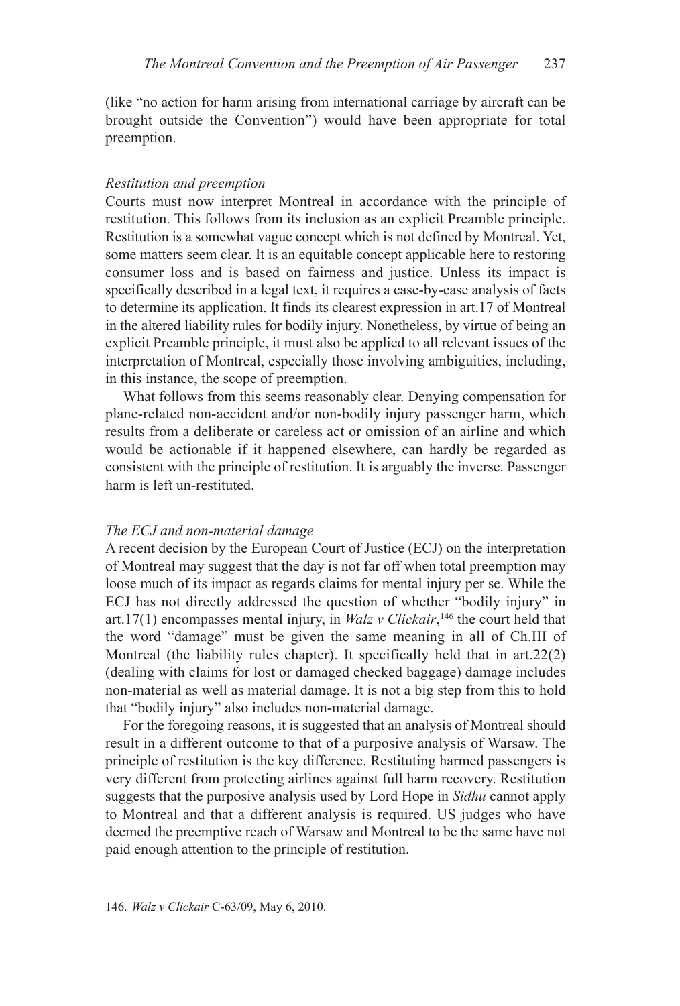(like "no action for harm arising from international carriage by aircraft can be brought outside the Convention") would have been appropriate for total preemption.

## *Restitution and preemption*

Courts must now interpret Montreal in accordance with the principle of restitution. This follows from its inclusion as an explicit Preamble principle. Restitution is a somewhat vague concept which is not defined by Montreal. Yet, some matters seem clear. It is an equitable concept applicable here to restoring consumer loss and is based on fairness and justice. Unless its impact is specifically described in a legal text, it requires a case-by-case analysis of facts to determine its application. It finds its clearest expression in art.17 of Montreal in the altered liability rules for bodily injury. Nonetheless, by virtue of being an explicit Preamble principle, it must also be applied to all relevant issues of the interpretation of Montreal, especially those involving ambiguities, including, in this instance, the scope of preemption.

What follows from this seems reasonably clear. Denying compensation for plane-related non-accident and/or non-bodily injury passenger harm, which results from a deliberate or careless act or omission of an airline and which would be actionable if it happened elsewhere, can hardly be regarded as consistent with the principle of restitution. It is arguably the inverse. Passenger harm is left un-restituted.

## *The ECJ and non-material damage*

A recent decision by the European Court of Justice (ECJ) on the interpretation of Montreal may suggest that the day is not far off when total preemption may loose much of its impact as regards claims for mental injury per se. While the eCJ has not directly addressed the question of whether "bodily injury" in art.17(1) encompasses mental injury, in *Walz v Clickair*, <sup>146</sup> the court held that the word "damage" must be given the same meaning in all of Ch.III of Montreal (the liability rules chapter). It specifically held that in art.22(2) (dealing with claims for lost or damaged checked baggage) damage includes non-material as well as material damage. It is not a big step from this to hold that "bodily injury" also includes non-material damage.

For the foregoing reasons, it is suggested that an analysis of Montreal should result in a different outcome to that of a purposive analysis of Warsaw. The principle of restitution is the key difference. Restituting harmed passengers is very different from protecting airlines against full harm recovery. Restitution suggests that the purposive analysis used by lord hope in *Sidhu* cannot apply to Montreal and that a different analysis is required. US judges who have deemed the preemptive reach of Warsaw and Montreal to be the same have not paid enough attention to the principle of restitution.